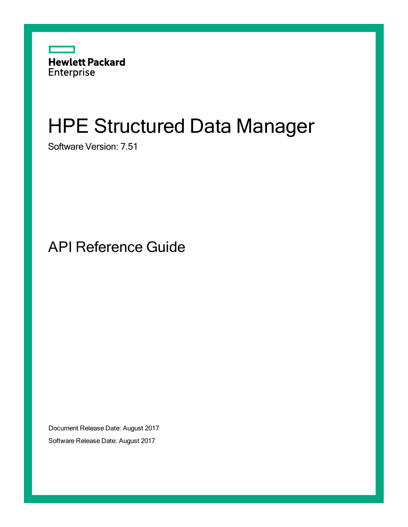

# HPE Structured Data Manager

Software Version: 7.51

API Reference Guide

Document Release Date: August 2017 Software Release Date: August 2017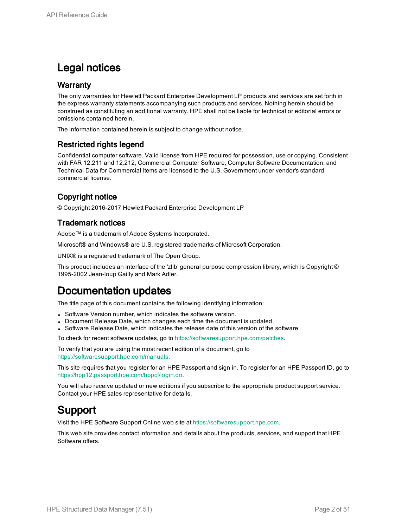### Legal notices

### **Warranty**

The only warranties for Hewlett Packard Enterprise Development LP products and services are set forth in the express warranty statements accompanying such products and services. Nothing herein should be construed as constituting an additional warranty. HPE shall not be liable for technical or editorial errors or omissions contained herein.

The information contained herein is subject to change without notice.

### Restricted rights legend

Confidential computer software. Valid license from HPE required for possession, use or copying. Consistent with FAR 12.211 and 12.212, Commercial Computer Software, Computer Software Documentation, and Technical Data for Commercial Items are licensed to the U.S. Government under vendor's standard commercial license.

### Copyright notice

© Copyright 2016-2017 Hewlett Packard Enterprise Development LP

### Trademark notices

Adobe™ is a trademark of Adobe Systems Incorporated.

Microsoft® and Windows® are U.S. registered trademarks of Microsoft Corporation.

UNIX® is a registered trademark of The Open Group.

This product includes an interface of the 'zlib' general purpose compression library, which is Copyright © 1995-2002 Jean-loup Gailly and Mark Adler.

### Documentation updates

The title page of this document contains the following identifying information:

- Software Version number, which indicates the software version.
- Document Release Date, which changes each time the document is updated.
- Software Release Date, which indicates the release date of this version of the software.

To check for recent software updates, go to <https://softwaresupport.hpe.com/patches>.

To verify that you are using the most recent edition of a document, go to [https://softwaresupport.hpe.com/manuals.](https://softwaresupport.hpe.com/manuals)

This site requires that you register for an HPE Passport and sign in. To register for an HPE Passport ID, go to [https://hpp12.passport.hpe.com/hppcf/login.do.](https://hpp12.passport.hpe.com/hppcf/login.do)

You will also receive updated or new editions if you subscribe to the appropriate product support service. Contact your HPE sales representative for details.

### Support

Visit the HPE Software Support Online web site at [https://softwaresupport.hpe.com](https://softwaresupport.hpe.com/).

This web site provides contact information and details about the products, services, and support that HPE Software offers.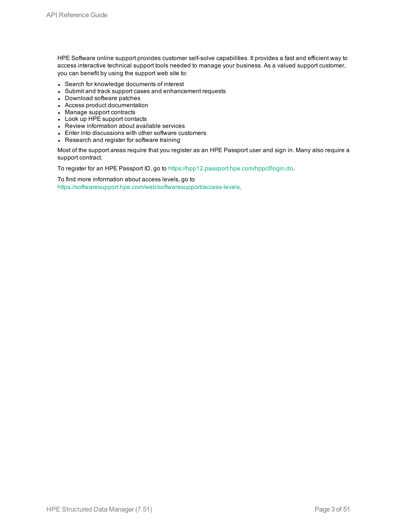HPE Software online support provides customer self-solve capabilities. It provides a fast and efficient way to access interactive technical support tools needed to manage your business. As a valued support customer, you can benefit by using the support web site to:

- Search for knowledge documents of interest
- Submit and track support cases and enhancement requests
- Download software patches
- Access product documentation
- Manage support contracts
- Look up HPE support contacts
- Review information about available services
- Enter into discussions with other software customers
- Research and register for software training

Most of the support areas require that you register as an HPE Passport user and sign in. Many also require a support contract.

To register for an HPE Passport ID, go to <https://hpp12.passport.hpe.com/hppcf/login.do>.

To find more information about access levels, go to <https://softwaresupport.hpe.com/web/softwaresupport/access-levels>.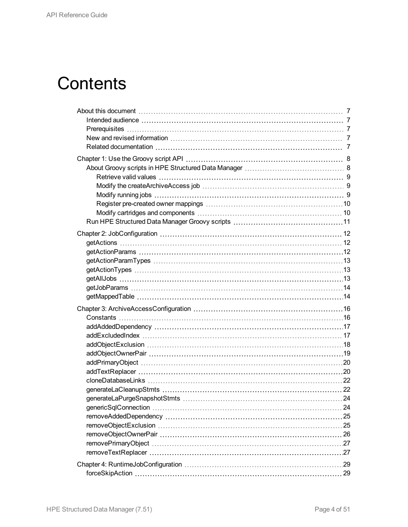# **Contents**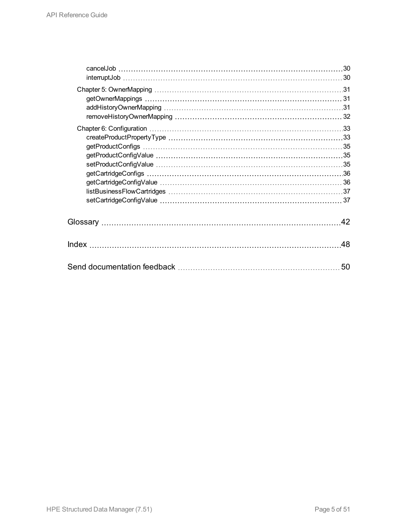| .42 |
|-----|
| 48  |
| 50  |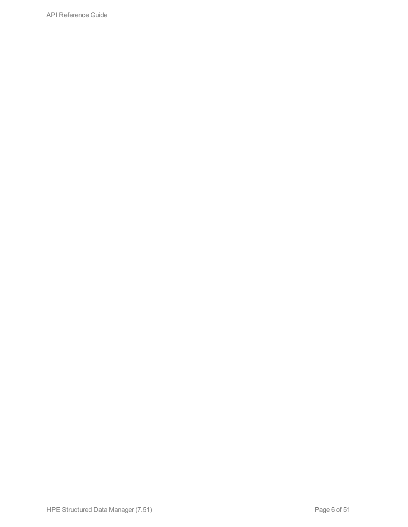API Reference Guide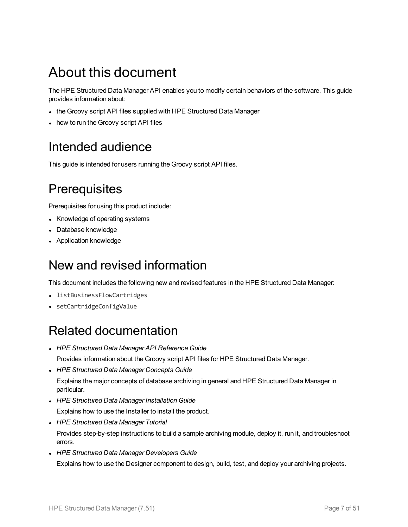## <span id="page-6-0"></span>About this document

The HPE Structured Data Manager API enables you to modify certain behaviors of the software. This guide provides information about:

- the Groovy script API files supplied with HPE Structured Data Manager
- <span id="page-6-1"></span>• how to run the Groovy script API files

## Intended audience

<span id="page-6-2"></span>This guide is intended for users running the Groovy script API files.

## **Prerequisites**

Prerequisites for using this product include:

- Knowledge of operating systems
- Database knowledge
- <span id="page-6-3"></span>• Application knowledge

## New and revised information

This document includes the following new and revised features in the HPE Structured Data Manager:

- listBusinessFlowCartridges
- <span id="page-6-4"></span>• setCartridgeConfigValue

## Related documentation

- <sup>l</sup> *HPE Structured Data Manager API Reference Guide* Provides information about the Groovy script API files for HPE Structured Data Manager.
- <sup>l</sup> *HPE Structured Data Manager Concepts Guide*

Explains the major concepts of database archiving in general and HPE Structured Data Manager in particular.

<sup>l</sup> *HPE Structured Data Manager Installation Guide*

Explains how to use the Installer to install the product.

<sup>l</sup> *HPE Structured Data Manager Tutorial*

Provides step-by-step instructions to build a sample archiving module, deploy it, run it, and troubleshoot errors.

<sup>l</sup> *HPE Structured Data Manager Developers Guide*

Explains how to use the Designer component to design, build, test, and deploy your archiving projects.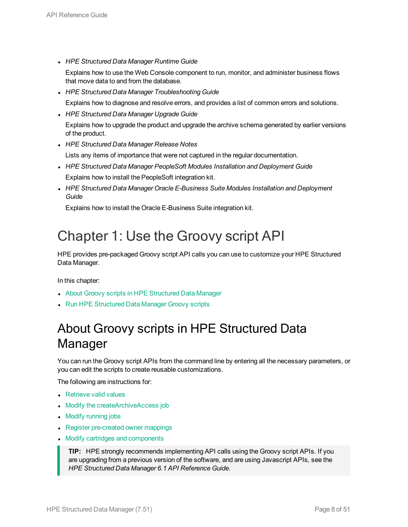<sup>l</sup> *HPE Structured Data Manager Runtime Guide*

Explains how to use the Web Console component to run, monitor, and administer business flows that move data to and from the database.

- <sup>l</sup> *HPE Structured Data Manager Troubleshooting Guide* Explains how to diagnose and resolve errors, and provides a list of common errors and solutions.
- <sup>l</sup> *HPE Structured Data Manager Upgrade Guide*

Explains how to upgrade the product and upgrade the archive schema generated by earlier versions of the product.

<sup>l</sup> *HPE Structured Data Manager Release Notes*

Lists any items of importance that were not captured in the regular documentation.

- <sup>l</sup> *HPE Structured Data Manager PeopleSoft Modules Installation and Deployment Guide* Explains how to install the PeopleSoft integration kit.
- <sup>l</sup> *HPE Structured Data Manager Oracle E-Business Suite Modules Installation and Deployment Guide*

<span id="page-7-0"></span>Explains how to install the Oracle E-Business Suite integration kit.

## Chapter 1: Use the Groovy script API

HPE provides pre-packaged Groovy script API calls you can use to customize your HPE Structured Data Manager.

In this chapter:

- <span id="page-7-1"></span>• About Groovy scripts in HPE [Structured](#page-7-1) Data Manager
- Run HPE [Structured](#page-10-0) Data Manager Groovy scripts

## About Groovy scripts in HPE Structured Data Manager

<span id="page-7-2"></span>You can run the Groovy script APIs from the command line by entering all the necessary parameters, or you can edit the scripts to create reusable customizations.

The following are instructions for:

- [Retrieve](#page-8-0) valid values
- Modify the [createArchiveAccess](#page-8-1) job
- Modify [running](#page-8-2) jobs
- Register [pre-created](#page-9-0) owner mappings
- Modify cartridges and [components](#page-9-1)

**TIP:** HPE strongly recommends implementing API calls using the Groovy script APIs. If you are upgrading from a previous version of the software, and are using Javascript APIs, see the *HPE Structured Data Manager 6.1 API Reference Guide*.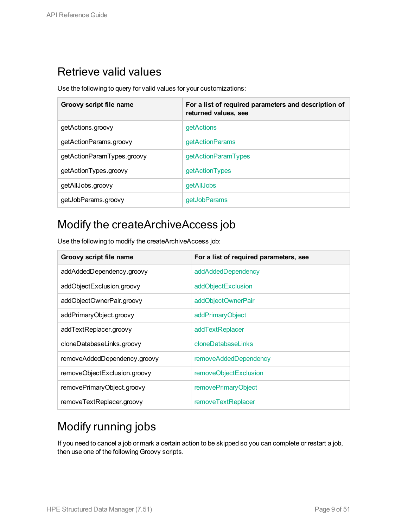### <span id="page-8-0"></span>Retrieve valid values

<span id="page-8-5"></span>Use the following to query for valid values for your customizations:

| Groovy script file name    | For a list of required parameters and description of<br>returned values, see |
|----------------------------|------------------------------------------------------------------------------|
| getActions.groovy          | getActions                                                                   |
| getActionParams.groovy     | getActionParams                                                              |
| getActionParamTypes.groovy | getActionParamTypes                                                          |
| getActionTypes.groovy      | getActionTypes                                                               |
| getAllJobs.groovy          | getAllJobs                                                                   |
| getJobParams.groovy        | getJobParams                                                                 |

### <span id="page-8-1"></span>Modify the createArchiveAccess job

<span id="page-8-3"></span>Use the following to modify the createArchiveAccess job:

| Groovy script file name      | For a list of required parameters, see |
|------------------------------|----------------------------------------|
| addAddedDependency.groovy    | addAddedDependency                     |
| addObjectExclusion.groovy    | addObjectExclusion                     |
| addObjectOwnerPair.groovy    | addObjectOwnerPair                     |
| addPrimaryObject.groovy      | addPrimaryObject                       |
| addTextReplacer.groovy       | addTextReplacer                        |
| cloneDatabaseLinks.groovy    | cloneDatabaseLinks                     |
| removeAddedDependency.groovy | removeAddedDependency                  |
| removeObjectExclusion.groovy | removeObjectExclusion                  |
| removePrimaryObject.groovy   | removePrimaryObject                    |
| removeTextReplacer.groovy    | <b>removeTextReplacer</b>              |

## <span id="page-8-2"></span>Modify running jobs

<span id="page-8-4"></span>If you need to cancel a job or mark a certain action to be skipped so you can complete or restart a job, then use one of the following Groovy scripts.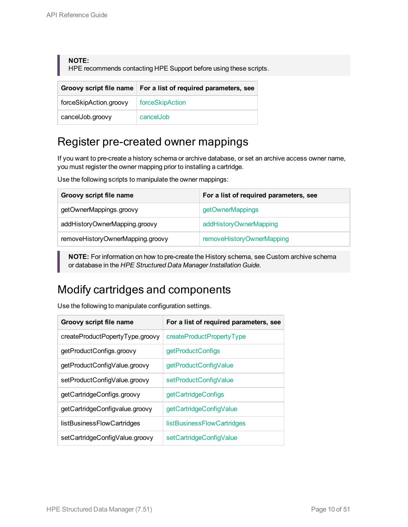### **NOTE:**

HPE recommends contacting HPE Support before using these scripts.

|                        | Groovy script file name   For a list of required parameters, see |
|------------------------|------------------------------------------------------------------|
| forceSkipAction.groovy | forceSkipAction                                                  |
| cancelJob.groovy       | cancelJob                                                        |

### <span id="page-9-0"></span>Register pre-created owner mappings

<span id="page-9-2"></span>If you want to pre-create a history schema or archive database, or set an archive access owner name, you must register the owner mapping prior to installing a cartridge.

Use the following scripts to manipulate the owner mappings:

| Groovy script file name          | For a list of required parameters, see |
|----------------------------------|----------------------------------------|
| getOwnerMappings.groovy          | getOwnerMappings                       |
| addHistoryOwnerMapping.groovy    | addHistoryOwnerMapping                 |
| removeHistoryOwnerMapping.groovy | removeHistoryOwnerMapping              |

**NOTE:** For information on how to pre-create the History schema, see Custom archive schema or database in the *HPE Structured Data Manager Installation Guide*.

### <span id="page-9-1"></span>Modify cartridges and components

<span id="page-9-3"></span>Use the following to manipulate configuration settings.

| Groovy script file name         | For a list of required parameters, see |
|---------------------------------|----------------------------------------|
| createProductPopertyType.groovy | createProductPropertyType              |
| getProductConfigs.groovy        | getProductConfigs                      |
| getProductConfigValue.groovy    | getProductConfigValue                  |
| setProductConfigValue.groovy    | setProductConfigValue                  |
| getCartridgeConfigs.groovy      | getCartridgeConfigs                    |
| getCartridgeConfigvalue.groovy  | getCartridgeConfigValue                |
| listBusinessFlowCartridges      | <b>listBusinessFlowCartridges</b>      |
| setCartridgeConfigValue.groovy  | setCartridgeConfigValue                |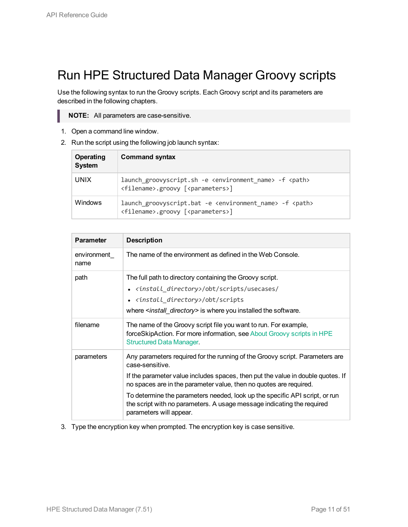## <span id="page-10-0"></span>Run HPE Structured Data Manager Groovy scripts

<span id="page-10-2"></span>Use the following syntax to run the Groovy scripts. Each Groovy script and its parameters are described in the following chapters.

**NOTE:** All parameters are case-sensitive.

- 1. Open a command line window.
- 2. Run the script using the following job launch syntax:

| <b>Operating</b><br><b>System</b> | <b>Command syntax</b>                                                                                                                          |
|-----------------------------------|------------------------------------------------------------------------------------------------------------------------------------------------|
| UNIX                              | launch groovyscript.sh -e <environment name=""> -f <path><br/><filename>.groovy [<parameters>]</parameters></filename></path></environment>    |
| <b>Windows</b>                    | launch_groovyscript.bat -e <environment_name> -f <path><br/><filename>.groovy [<parameters>]</parameters></filename></path></environment_name> |

| <b>Parameter</b>    | <b>Description</b>                                                                                                                                                                                                                                                                                                                                                                                                |
|---------------------|-------------------------------------------------------------------------------------------------------------------------------------------------------------------------------------------------------------------------------------------------------------------------------------------------------------------------------------------------------------------------------------------------------------------|
| environment<br>name | The name of the environment as defined in the Web Console.                                                                                                                                                                                                                                                                                                                                                        |
| path                | The full path to directory containing the Groovy script.<br>. <install directory="">/obt/scripts/usecases/<br/>• <install directory="">/obt/scripts<br/>where <install_directory> is where you installed the software.</install_directory></install></install>                                                                                                                                                    |
| filename            | The name of the Groovy script file you want to run. For example,<br>forceSkipAction. For more information, see About Groovy scripts in HPE<br><b>Structured Data Manager.</b>                                                                                                                                                                                                                                     |
| parameters          | Any parameters required for the running of the Groovy script. Parameters are<br>case-sensitive.<br>If the parameter value includes spaces, then put the value in double quotes. If<br>no spaces are in the parameter value, then no quotes are required.<br>To determine the parameters needed, look up the specific API script, or run<br>the script with no parameters. A usage message indicating the required |
|                     | parameters will appear.                                                                                                                                                                                                                                                                                                                                                                                           |

<span id="page-10-1"></span>3. Type the encryption key when prompted. The encryption key is case sensitive.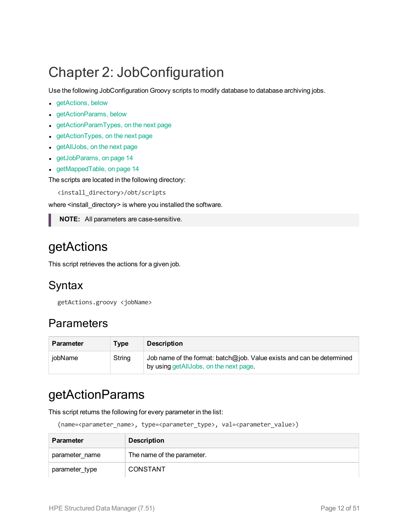## <span id="page-11-0"></span>Chapter 2: JobConfiguration

Use the following JobConfiguration Groovy scripts to modify database to database archiving jobs.

- [getActions,](#page-11-1) below
- [getActionParams,](#page-11-2) below
- [getActionParamTypes,](#page-12-0) on the next page
- [getActionTypes,](#page-12-1) on the next page
- [getAllJobs,](#page-12-2) on the next page
- **.** [getJobParams,](#page-13-0) on page 14
- [getMappedTable,](#page-13-1) on page 14

The scripts are located in the following directory:

<install\_directory>/obt/scripts

where <install\_directory> is where you installed the software.

<span id="page-11-1"></span>**NOTE:** All parameters are case-sensitive.

### getActions

This script retrieves the actions for a given job.

### **Syntax**

```
getActions.groovy <jobName>
```
### **Parameters**

| <b>Parameter</b> | Type   | <b>Description</b>                                                                                              |
|------------------|--------|-----------------------------------------------------------------------------------------------------------------|
| jobName          | String | Job name of the format: batch@job. Value exists and can be determined<br>by using getAllJobs, on the next page. |

## <span id="page-11-2"></span>getActionParams

This script returns the following for every parameter in the list:

```
(name=<parameter_name>, type=<parameter_type>, val=<parameter_value>)
```

| <b>Parameter</b> | <b>Description</b>         |
|------------------|----------------------------|
| parameter name   | The name of the parameter. |
| parameter_type   | <b>CONSTANT</b>            |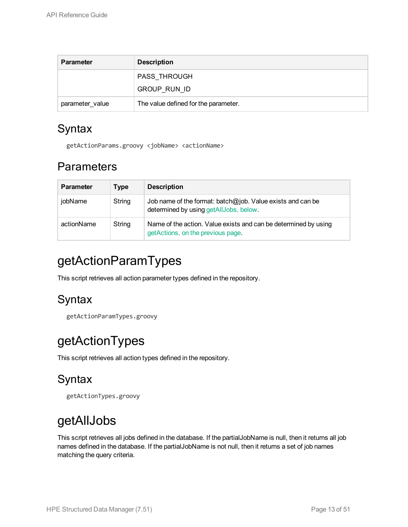| <b>Parameter</b> | <b>Description</b>                   |
|------------------|--------------------------------------|
|                  | PASS THROUGH                         |
|                  | <b>GROUP RUN ID</b>                  |
| parameter value  | The value defined for the parameter. |

### **Syntax**

getActionParams.groovy <jobName> <actionName>

### **Parameters**

| <b>Parameter</b> | Type   | <b>Description</b>                                                                                   |
|------------------|--------|------------------------------------------------------------------------------------------------------|
| jobName          | String | Job name of the format: batch@job. Value exists and can be<br>determined by using getAllJobs, below. |
| actionName       | String | Name of the action. Value exists and can be determined by using<br>getActions, on the previous page. |

## <span id="page-12-0"></span>getActionParamTypes

This script retrieves all action parameter types defined in the repository.

### **Syntax**

<span id="page-12-1"></span>getActionParamTypes.groovy

## getActionTypes

This script retrieves all action types defined in the repository.

### **Syntax**

<span id="page-12-2"></span>getActionTypes.groovy

## getAllJobs

This script retrieves all jobs defined in the database. If the partialJobName is null, then it returns all job names defined in the database. If the partialJobName is not null, then it returns a set of job names matching the query criteria.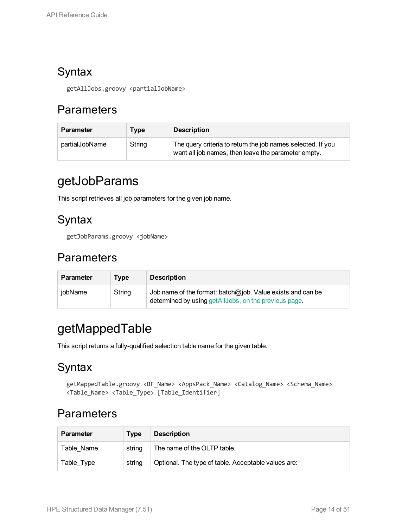### **Syntax**

getAllJobs.groovy <partialJobName>

### **Parameters**

| <b>Parameter</b> | Type   | <b>Description</b>                                                                                                 |
|------------------|--------|--------------------------------------------------------------------------------------------------------------------|
| partialJobName   | String | The query criteria to return the job names selected. If you<br>want all job names, then leave the parameter empty. |

## <span id="page-13-0"></span>getJobParams

This script retrieves all job parameters for the given job name.

### **Syntax**

getJobParams.groovy <jobName>

### **Parameters**

| <b>Parameter</b> | Tvpe   | <b>Description</b>                                                                                                  |
|------------------|--------|---------------------------------------------------------------------------------------------------------------------|
| jobName          | String | Job name of the format: batch@job. Value exists and can be<br>determined by using getAllJobs, on the previous page. |

## <span id="page-13-1"></span>getMappedTable

This script returns a fully-qualified selection table name for the given table.

### **Syntax**

getMappedTable.groovy <BF\_Name> <AppsPack\_Name> <Catalog\_Name> <Schema\_Name> <Table\_Name> <Table\_Type> [Table\_Identifier]

| <b>Parameter</b> | <b>Type</b> | <b>Description</b>                                  |
|------------------|-------------|-----------------------------------------------------|
| Table Name       | strina      | The name of the OLTP table.                         |
| Table Type       | string      | Optional. The type of table. Acceptable values are: |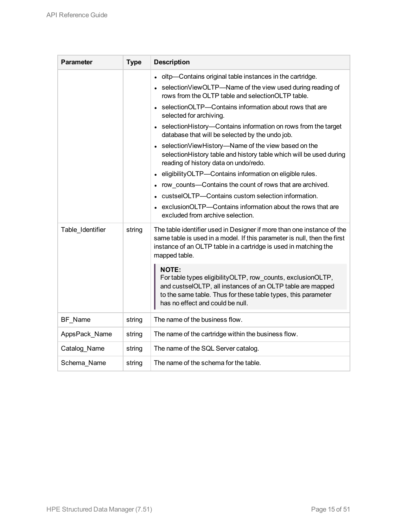| <b>Parameter</b> | <b>Type</b> | <b>Description</b>                                                                                                                                                                                                                                                                                                                                                                                                                                                                                                                                                                                                                                                                                                                                                                                                                                           |
|------------------|-------------|--------------------------------------------------------------------------------------------------------------------------------------------------------------------------------------------------------------------------------------------------------------------------------------------------------------------------------------------------------------------------------------------------------------------------------------------------------------------------------------------------------------------------------------------------------------------------------------------------------------------------------------------------------------------------------------------------------------------------------------------------------------------------------------------------------------------------------------------------------------|
|                  |             | oltp-Contains original table instances in the cartridge.<br>selectionViewOLTP-Name of the view used during reading of<br>rows from the OLTP table and selectionOLTP table.<br>• selectionOLTP-Contains information about rows that are<br>selected for archiving.<br>selectionHistory—Contains information on rows from the target<br>database that will be selected by the undo job.<br>• selection View History—Name of the view based on the<br>selectionHistory table and history table which will be used during<br>reading of history data on undo/redo.<br>eligibilityOLTP-Contains information on eligible rules.<br>$\bullet$<br>row_counts—Contains the count of rows that are archived.<br>custselOLTP-Contains custom selection information.<br>• exclusionOLTP-Contains information about the rows that are<br>excluded from archive selection. |
| Table_Identifier | string      | The table identifier used in Designer if more than one instance of the<br>same table is used in a model. If this parameter is null, then the first<br>instance of an OLTP table in a cartridge is used in matching the<br>mapped table.<br><b>NOTE:</b><br>For table types eligibilityOLTP, row_counts, exclusionOLTP,<br>and custselOLTP, all instances of an OLTP table are mapped<br>to the same table. Thus for these table types, this parameter<br>has no effect and could be null.                                                                                                                                                                                                                                                                                                                                                                    |
| BF Name          | string      | The name of the business flow.                                                                                                                                                                                                                                                                                                                                                                                                                                                                                                                                                                                                                                                                                                                                                                                                                               |
| AppsPack Name    | string      | The name of the cartridge within the business flow.                                                                                                                                                                                                                                                                                                                                                                                                                                                                                                                                                                                                                                                                                                                                                                                                          |
| Catalog_Name     | string      | The name of the SQL Server catalog.                                                                                                                                                                                                                                                                                                                                                                                                                                                                                                                                                                                                                                                                                                                                                                                                                          |
| Schema_Name      | string      | The name of the schema for the table.                                                                                                                                                                                                                                                                                                                                                                                                                                                                                                                                                                                                                                                                                                                                                                                                                        |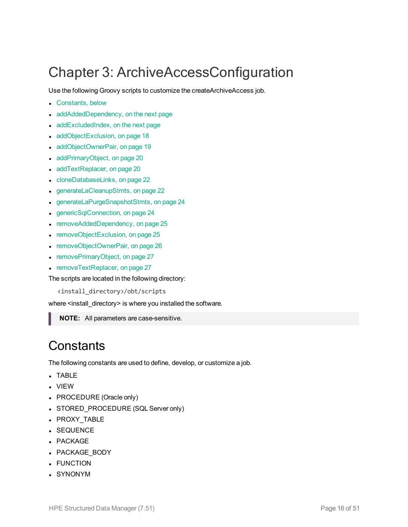## <span id="page-15-0"></span>Chapter 3: ArchiveAccessConfiguration

<span id="page-15-3"></span>Use the following Groovy scripts to customize the createArchiveAccess job.

- [Constants,](#page-15-1) below
- [addAddedDependency,](#page-16-0) on the next page
- $\bullet$  [addExcludedIndex,](#page-16-1) on the next page
- [addObjectExclusion,](#page-17-0) on page 18
- [addObjectOwnerPair,](#page-18-0) on page 19
- [addPrimaryObject,](#page-19-0) on page 20
- [addTextReplacer,](#page-19-1) on page 20
- [cloneDatabaseLinks,](#page-21-0) on page 22
- [generateLaCleanupStmts,](#page-21-1) on page 22
- [generateLaPurgeSnapshotStmts,](#page-23-0) on page 24
- [genericSqlConnection,](#page-23-1) on page 24
- [removeAddedDependency,](#page-24-0) on page 25
- [removeObjectExclusion,](#page-24-1) on page 25
- [removeObjectOwnerPair,](#page-25-0) on page 26
- [removePrimaryObject,](#page-26-0) on page 27
- [removeTextReplacer,](#page-26-1) on page 27

The scripts are located in the following directory:

<install\_directory>/obt/scripts

where <install\_directory> is where you installed the software.

<span id="page-15-1"></span>**NOTE:** All parameters are case-sensitive.

### **Constants**

<span id="page-15-2"></span>The following constants are used to define, develop, or customize a job.

- TABLE
- . VIEW
- PROCEDURE (Oracle only)
- STORED\_PROCEDURE (SQL Server only)
- PROXY\_TABLE
- **.** SEQUENCE
- PACKAGE
- PACKAGE\_BODY
- **.** FUNCTION
- <sup>l</sup> SYNONYM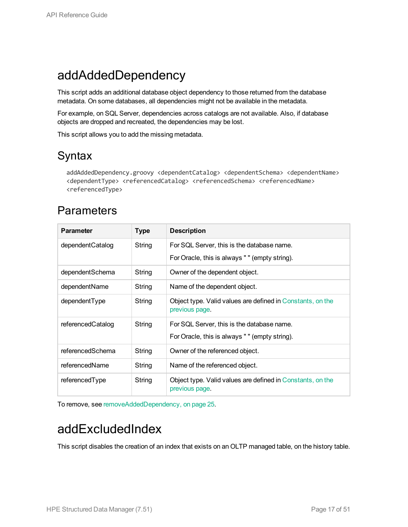## <span id="page-16-0"></span>addAddedDependency

<span id="page-16-2"></span>This script adds an additional database object dependency to those returned from the database metadata. On some databases, all dependencies might not be available in the metadata.

For example, on SQL Server, dependencies across catalogs are not available. Also, if database objects are dropped and recreated, the dependencies may be lost.

This script allows you to add the missing metadata.

### **Syntax**

addAddedDependency.groovy <dependentCatalog> <dependentSchema> <dependentName> <dependentType> <referencedCatalog> <referencedSchema> <referencedName> <referencedType>

### **Parameters**

| <b>Parameter</b>  | <b>Type</b> | <b>Description</b>                                                           |
|-------------------|-------------|------------------------------------------------------------------------------|
| dependentCatalog  | String      | For SQL Server, this is the database name.                                   |
|                   |             | For Oracle, this is always " " (empty string).                               |
| dependentSchema   | String      | Owner of the dependent object.                                               |
| dependentName     | String      | Name of the dependent object.                                                |
| dependentType     | String      | Object type. Valid values are defined in Constants, on the<br>previous page. |
| referencedCatalog | String      | For SQL Server, this is the database name.                                   |
|                   |             | For Oracle, this is always " " (empty string).                               |
| referencedSchema  | String      | Owner of the referenced object.                                              |
| referencedName    | String      | Name of the referenced object.                                               |
| referencedType    | String      | Object type. Valid values are defined in Constants, on the<br>previous page. |

<span id="page-16-1"></span>To remove, see [removeAddedDependency,](#page-24-0) on page 25.

### addExcludedIndex

This script disables the creation of an index that exists on an OLTP managed table, on the history table.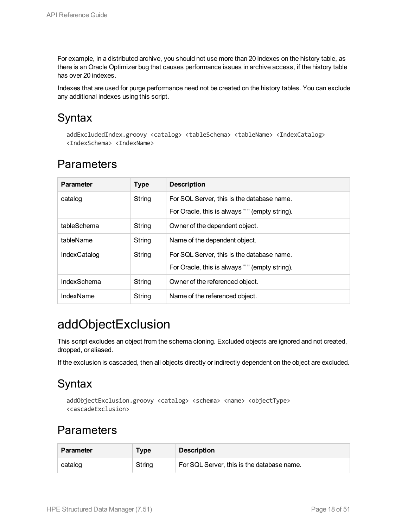For example, in a distributed archive, you should not use more than 20 indexes on the history table, as there is an Oracle Optimizer bug that causes performance issues in archive access, if the history table has over 20 indexes.

Indexes that are used for purge performance need not be created on the history tables. You can exclude any additional indexes using this script.

### **Syntax**

addExcludedIndex.groovy <catalog> <tableSchema> <tableName> <IndexCatalog> <IndexSchema> <IndexName>

### **Parameters**

| <b>Parameter</b>    | <b>Type</b> | <b>Description</b>                                                                           |
|---------------------|-------------|----------------------------------------------------------------------------------------------|
| catalog             | String      | For SQL Server, this is the database name.<br>For Oracle, this is always " " (empty string). |
| tableSchema         | String      | Owner of the dependent object.                                                               |
| tableName           | String      | Name of the dependent object.                                                                |
| <b>IndexCatalog</b> | String      | For SQL Server, this is the database name.<br>For Oracle, this is always " " (empty string). |
| <b>IndexSchema</b>  | String      | Owner of the referenced object.                                                              |
| IndexName           | String      | Name of the referenced object.                                                               |

## <span id="page-17-0"></span>addObjectExclusion

This script excludes an object from the schema cloning. Excluded objects are ignored and not created, dropped, or aliased.

If the exclusion is cascaded, then all objects directly or indirectly dependent on the object are excluded.

### **Syntax**

addObjectExclusion.groovy <catalog> <schema> <name> <objectType> <cascadeExclusion>

| <b>Parameter</b> | Type   | <b>Description</b>                         |
|------------------|--------|--------------------------------------------|
| catalog          | String | For SQL Server, this is the database name. |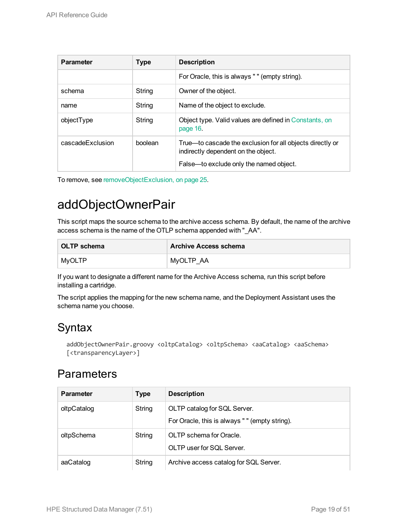| <b>Parameter</b> | <b>Type</b> | <b>Description</b>                                                                                                                          |
|------------------|-------------|---------------------------------------------------------------------------------------------------------------------------------------------|
|                  |             | For Oracle, this is always " " (empty string).                                                                                              |
| schema           | String      | Owner of the object.                                                                                                                        |
| name             | String      | Name of the object to exclude.                                                                                                              |
| objectType       | String      | Object type. Valid values are defined in Constants, on<br>page 16.                                                                          |
| cascadeExclusion | boolean     | True—to cascade the exclusion for all objects directly or<br>indirectly dependent on the object.<br>False-to exclude only the named object. |

<span id="page-18-0"></span>To remove, see [removeObjectExclusion,](#page-24-1) on page 25.

## addObjectOwnerPair

<span id="page-18-1"></span>This script maps the source schema to the archive access schema. By default, the name of the archive access schema is the name of the OTLP schema appended with "\_AA".

| <b>OLTP</b> schema | <b>Archive Access schema</b> |
|--------------------|------------------------------|
| MyOLTP             | MyOLTP AA                    |

If you want to designate a different name for the Archive Access schema, run this script before installing a cartridge.

The script applies the mapping for the new schema name, and the Deployment Assistant uses the schema name you choose.

## **Syntax**

addObjectOwnerPair.groovy <oltpCatalog> <oltpSchema> <aaCatalog> <aaSchema> [<transparencyLayer>]

| <b>Parameter</b> | Type   | <b>Description</b>                                                             |
|------------------|--------|--------------------------------------------------------------------------------|
| oltpCatalog      | String | OLTP catalog for SQL Server.<br>For Oracle, this is always " " (empty string). |
| oltpSchema       | String | OLTP schema for Oracle.<br>OLTP user for SQL Server.                           |
| aaCatalog        | String | Archive access catalog for SQL Server.                                         |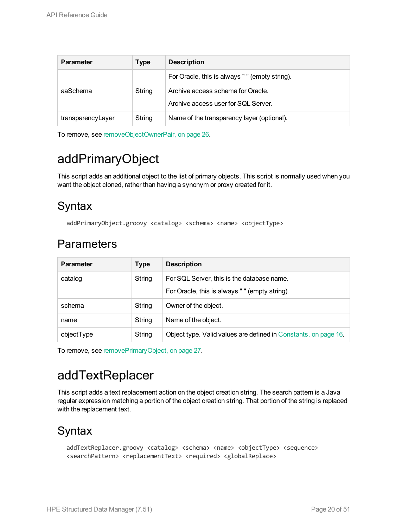| <b>Parameter</b>  | <b>Type</b> | <b>Description</b>                                                       |
|-------------------|-------------|--------------------------------------------------------------------------|
|                   |             | For Oracle, this is always " " (empty string).                           |
| aaSchema          | String      | Archive access schema for Oracle.<br>Archive access user for SQL Server. |
| transparencyLayer | String      | Name of the transparency layer (optional).                               |

<span id="page-19-0"></span>To remove, see [removeObjectOwnerPair,](#page-25-0) on page 26.

## addPrimaryObject

<span id="page-19-2"></span>This script adds an additional object to the list of primary objects. This script is normally used when you want the object cloned, rather than having a synonym or proxy created for it.

### **Syntax**

addPrimaryObject.groovy <catalog> <schema> <name> <objectType>

### **Parameters**

| <b>Parameter</b> | <b>Type</b> | <b>Description</b>                                              |
|------------------|-------------|-----------------------------------------------------------------|
| catalog          | String      | For SQL Server, this is the database name.                      |
|                  |             | For Oracle, this is always " " (empty string).                  |
| schema           | String      | Owner of the object.                                            |
| name             | String      | Name of the object.                                             |
| objectType       | String      | Object type. Valid values are defined in Constants, on page 16. |

<span id="page-19-1"></span>To remove, see [removePrimaryObject,](#page-26-0) on page 27.

## addTextReplacer

<span id="page-19-3"></span>This script adds a text replacement action on the object creation string. The search pattern is a Java regular expression matching a portion of the object creation string. That portion of the string is replaced with the replacement text.

## **Syntax**

addTextReplacer.groovy <catalog> <schema> <name> <objectType> <sequence> <searchPattern> <replacementText> <required> <globalReplace>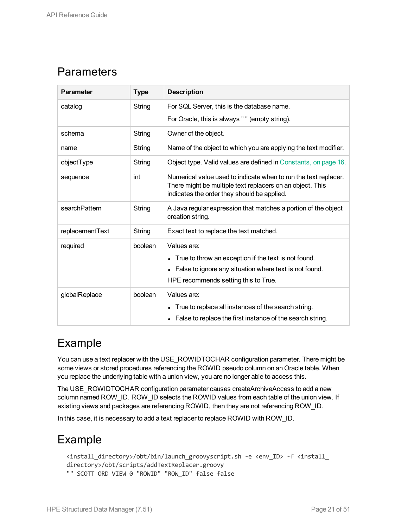### **Parameters**

| <b>Parameter</b> | <b>Type</b> | <b>Description</b>                                                                                                                                                          |
|------------------|-------------|-----------------------------------------------------------------------------------------------------------------------------------------------------------------------------|
| catalog          | String      | For SQL Server, this is the database name.                                                                                                                                  |
|                  |             | For Oracle, this is always " " (empty string).                                                                                                                              |
| schema           | String      | Owner of the object.                                                                                                                                                        |
| name             | String      | Name of the object to which you are applying the text modifier.                                                                                                             |
| objectType       | String      | Object type. Valid values are defined in Constants, on page 16.                                                                                                             |
| sequence         | int         | Numerical value used to indicate when to run the text replacer.<br>There might be multiple text replacers on an object. This<br>indicates the order they should be applied. |
| searchPattern    | String      | A Java regular expression that matches a portion of the object<br>creation string.                                                                                          |
| replacementText  | String      | Exact text to replace the text matched.                                                                                                                                     |
| required         | boolean     | Values are:                                                                                                                                                                 |
|                  |             | True to throw an exception if the text is not found.<br>$\bullet$                                                                                                           |
|                  |             | False to ignore any situation where text is not found.                                                                                                                      |
|                  |             | HPE recommends setting this to True.                                                                                                                                        |
| globalReplace    | boolean     | Values are:                                                                                                                                                                 |
|                  |             | True to replace all instances of the search string.                                                                                                                         |
|                  |             | False to replace the first instance of the search string.<br>$\bullet$                                                                                                      |

### Example

You can use a text replacer with the USE\_ROWIDTOCHAR configuration parameter. There might be some views or stored procedures referencing the ROWID pseudo column on an Oracle table. When you replace the underlying table with a union view, you are no longer able to access this.

The USE\_ROWIDTOCHAR configuration parameter causes createArchiveAccess to add a new column named ROW\_ID. ROW\_ID selects the ROWID values from each table of the union view. If existing views and packages are referencing ROWID, then they are not referencing ROW\_ID.

In this case, it is necessary to add a text replacer to replace ROWID with ROW\_ID.

### Example

```
<install_directory>/obt/bin/launch_groovyscript.sh -e <env_ID> -f <install_
directory>/obt/scripts/addTextReplacer.groovy
"" SCOTT ORD VIEW 0 "ROWID" "ROW ID" false false
```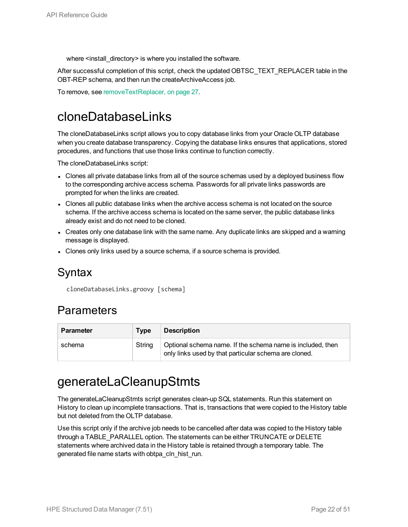where <install\_directory> is where you installed the software.

After successful completion of this script, check the updated OBTSC\_TEXT\_REPLACER table in the OBT-REP schema, and then run the createArchiveAccess job.

<span id="page-21-0"></span>To remove, see [removeTextReplacer,](#page-26-1) on page 27.

### cloneDatabaseLinks

<span id="page-21-3"></span>The cloneDatabaseLinks script allows you to copy database links from your Oracle OLTP database when you create database transparency. Copying the database links ensures that applications, stored procedures, and functions that use those links continue to function correctly.

The cloneDatabaseLinks script:

- Clones all private database links from all of the source schemas used by a deployed business flow to the corresponding archive access schema. Passwords for all private links passwords are prompted for when the links are created.
- Clones all public database links when the archive access schema is not located on the source schema. If the archive access schema is located on the same server, the public database links already exist and do not need to be cloned.
- Creates only one database link with the same name. Any duplicate links are skipped and a warning message is displayed.
- Clones only links used by a source schema, if a source schema is provided.

### **Syntax**

cloneDatabaseLinks.groovy [schema]

### **Parameters**

| <b>Parameter</b> | Tvpe   | <b>Description</b>                                                                                                  |
|------------------|--------|---------------------------------------------------------------------------------------------------------------------|
| schema           | String | Optional schema name. If the schema name is included, then<br>only links used by that particular schema are cloned. |

### <span id="page-21-1"></span>generateLaCleanupStmts

<span id="page-21-2"></span>The generateLaCleanupStmts script generates clean-up SQL statements. Run this statement on History to clean up incomplete transactions. That is, transactions that were copied to the History table but not deleted from the OLTP database.

Use this script only if the archive job needs to be cancelled after data was copied to the History table through a TABLE\_PARALLEL option. The statements can be either TRUNCATE or DELETE statements where archived data in the History table is retained through a temporary table. The generated file name starts with obtpa\_cln\_hist\_run.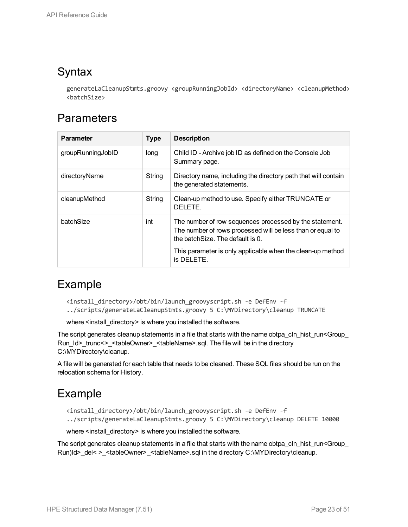### **Syntax**

generateLaCleanupStmts.groovy <groupRunningJobId> <directoryName> <cleanupMethod> <batchSize>

### Parameters

| <b>Parameter</b>  | <b>Type</b> | <b>Description</b>                                                                                                                                        |
|-------------------|-------------|-----------------------------------------------------------------------------------------------------------------------------------------------------------|
| groupRunningJobID | long        | Child ID - Archive job ID as defined on the Console Job<br>Summary page.                                                                                  |
| directoryName     | String      | Directory name, including the directory path that will contain<br>the generated statements.                                                               |
| cleanupMethod     | String      | Clean-up method to use. Specify either TRUNCATE or<br>DELETE.                                                                                             |
| batchSize         | int         | The number of row sequences processed by the statement.<br>The number of rows processed will be less than or equal to<br>the batchSize. The default is 0. |
|                   |             | This parameter is only applicable when the clean-up method<br>is DELETE.                                                                                  |

### Example

```
<install_directory>/obt/bin/launch_groovyscript.sh -e DefEnv -f
../scripts/generateLaCleanupStmts.groovy 5 C:\MYDirectory\cleanup TRUNCATE
```
where <install\_directory> is where you installed the software.

The script generates cleanup statements in a file that starts with the name obtpa\_cln\_hist\_run<Group\_ Run\_Id>\_trunc<>\_<tableOwner>\_<tableName>.sql. The file will be in the directory C:\MYDirectory\cleanup.

A file will be generated for each table that needs to be cleaned. These SQL files should be run on the relocation schema for History.

### Example

```
<install_directory>/obt/bin/launch_groovyscript.sh -e DefEnv -f
../scripts/generateLaCleanupStmts.groovy 5 C:\MYDirectory\cleanup DELETE 10000
```
where <install\_directory> is where you installed the software.

The script generates cleanup statements in a file that starts with the name obtpa\_cln\_hist\_run<Group Run)Id>\_del< >\_<tableOwner>\_<tableName>.sql in the directory C:\MYDirectory\cleanup.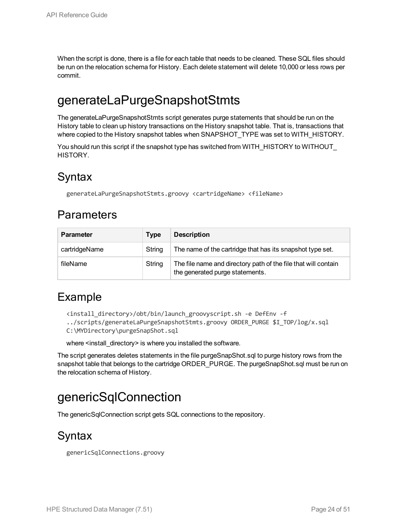When the script is done, there is a file for each table that needs to be cleaned. These SQL files should be run on the relocation schema for History. Each delete statement will delete 10,000 or less rows per commit.

### <span id="page-23-0"></span>generateLaPurgeSnapshotStmts

<span id="page-23-2"></span>The generateLaPurgeSnapshotStmts script generates purge statements that should be run on the History table to clean up history transactions on the History snapshot table. That is, transactions that where copied to the History snapshot tables when SNAPSHOT\_TYPE was set to WITH\_HISTORY.

You should run this script if the snapshot type has switched from WITH\_HISTORY to WITHOUT HISTORY.

### **Syntax**

generateLaPurgeSnapshotStmts.groovy <cartridgeName> <fileName>

### **Parameters**

| <b>Parameter</b> | Type   | <b>Description</b>                                                                                |
|------------------|--------|---------------------------------------------------------------------------------------------------|
| cartridgeName    | String | The name of the cartridge that has its snapshot type set.                                         |
| fileName         | String | The file name and directory path of the file that will contain<br>the generated purge statements. |

## Example

```
<install_directory>/obt/bin/launch_groovyscript.sh -e DefEnv -f
../scripts/generateLaPurgeSnapshotStmts.groovy ORDER PURGE $I TOP/log/x.sql
C:\MYDirectory\purgeSnapShot.sql
```
where <install\_directory> is where you installed the software.

The script generates deletes statements in the file purgeSnapShot.sql to purge history rows from the snapshot table that belongs to the cartridge ORDER\_PURGE. The purgeSnapShot.sql must be run on the relocation schema of History.

## <span id="page-23-1"></span>genericSqlConnection

<span id="page-23-3"></span>The genericSqlConnection script gets SQL connections to the repository.

### **Syntax**

genericSqlConnections.groovy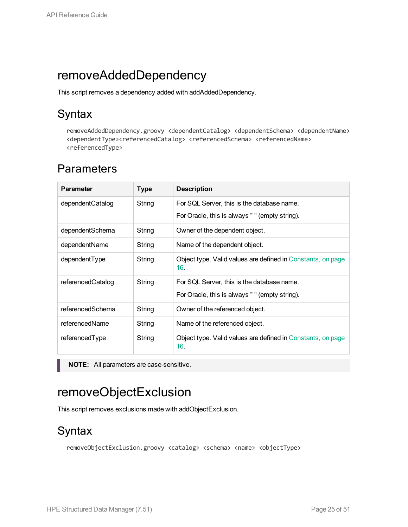## <span id="page-24-0"></span>removeAddedDependency

This script removes a dependency added with addAddedDependency.

### **Syntax**

removeAddedDependency.groovy <dependentCatalog> <dependentSchema> <dependentName> <dependentType><referencedCatalog> <referencedSchema> <referencedName> <referencedType>

### **Parameters**

| <b>Parameter</b>  | Type   | <b>Description</b>                                                 |
|-------------------|--------|--------------------------------------------------------------------|
| dependentCatalog  | String | For SQL Server, this is the database name.                         |
|                   |        | For Oracle, this is always " " (empty string).                     |
| dependentSchema   | String | Owner of the dependent object.                                     |
| dependentName     | String | Name of the dependent object.                                      |
| dependentType     | String | Object type. Valid values are defined in Constants, on page<br>16. |
| referencedCatalog | String | For SQL Server, this is the database name.                         |
|                   |        | For Oracle, this is always " " (empty string).                     |
| referencedSchema  | String | Owner of the referenced object.                                    |
| referencedName    | String | Name of the referenced object.                                     |
| referencedType    | String | Object type. Valid values are defined in Constants, on page<br>16. |

<span id="page-24-1"></span>**NOTE:** All parameters are case-sensitive.

## removeObjectExclusion

This script removes exclusions made with addObjectExclusion.

### **Syntax**

removeObjectExclusion.groovy <catalog> <schema> <name> <objectType>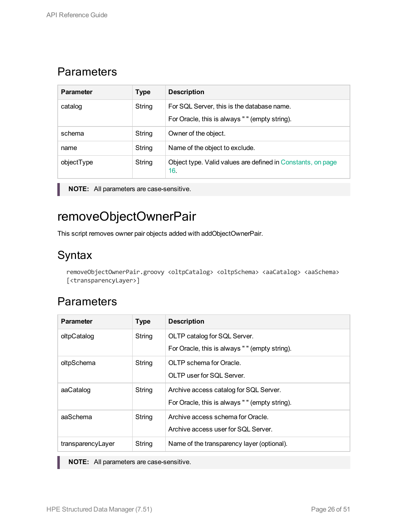### **Parameters**

| <b>Parameter</b> | <b>Type</b> | <b>Description</b>                                                                           |
|------------------|-------------|----------------------------------------------------------------------------------------------|
| catalog          | String      | For SQL Server, this is the database name.<br>For Oracle, this is always " " (empty string). |
| schema           | String      | Owner of the object.                                                                         |
| name             | String      | Name of the object to exclude.                                                               |
| objectType       | String      | Object type. Valid values are defined in Constants, on page<br>16.                           |

<span id="page-25-0"></span>**NOTE:** All parameters are case-sensitive.

## removeObjectOwnerPair

This script removes owner pair objects added with addObjectOwnerPair.

### **Syntax**

removeObjectOwnerPair.groovy <oltpCatalog> <oltpSchema> <aaCatalog> <aaSchema> [<transparencyLayer>]

### **Parameters**

| <b>Parameter</b>  | <b>Type</b> | <b>Description</b>                             |
|-------------------|-------------|------------------------------------------------|
| oltpCatalog       | String      | OLTP catalog for SQL Server.                   |
|                   |             | For Oracle, this is always " " (empty string). |
| oltpSchema        | String      | OLTP schema for Oracle.                        |
|                   |             | OLTP user for SQL Server.                      |
| aaCatalog         | String      | Archive access catalog for SQL Server.         |
|                   |             | For Oracle, this is always " " (empty string). |
| aaSchema          | String      | Archive access schema for Oracle.              |
|                   |             | Archive access user for SQL Server.            |
| transparencyLayer | String      | Name of the transparency layer (optional).     |

**NOTE:** All parameters are case-sensitive.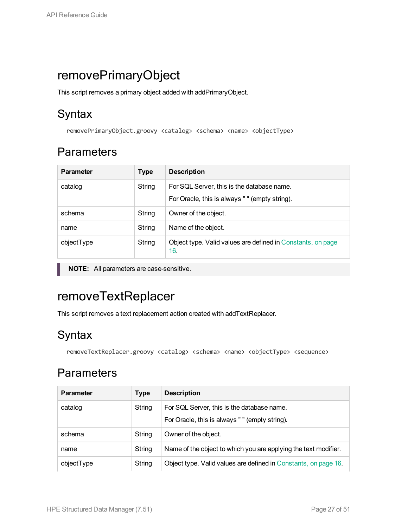## <span id="page-26-0"></span>removePrimaryObject

This script removes a primary object added with addPrimaryObject.

### **Syntax**

removePrimaryObject.groovy <catalog> <schema> <name> <objectType>

### **Parameters**

| <b>Parameter</b> | <b>Type</b> | <b>Description</b>                                                 |
|------------------|-------------|--------------------------------------------------------------------|
| catalog          | String      | For SQL Server, this is the database name.                         |
|                  |             | For Oracle, this is always " " (empty string).                     |
| schema           | String      | Owner of the object.                                               |
| name             | String      | Name of the object.                                                |
| objectType       | String      | Object type. Valid values are defined in Constants, on page<br>16. |

**NOTE:** All parameters are case-sensitive.

## <span id="page-26-1"></span>removeTextReplacer

This script removes a text replacement action created with addTextReplacer.

### **Syntax**

removeTextReplacer.groovy <catalog> <schema> <name> <objectType> <sequence>

| <b>Parameter</b> | <b>Type</b> | <b>Description</b>                                              |
|------------------|-------------|-----------------------------------------------------------------|
| catalog          | String      | For SQL Server, this is the database name.                      |
|                  |             | For Oracle, this is always " " (empty string).                  |
| schema           | String      | Owner of the object.                                            |
| name             | String      | Name of the object to which you are applying the text modifier. |
| objectType       | String      | Object type. Valid values are defined in Constants, on page 16. |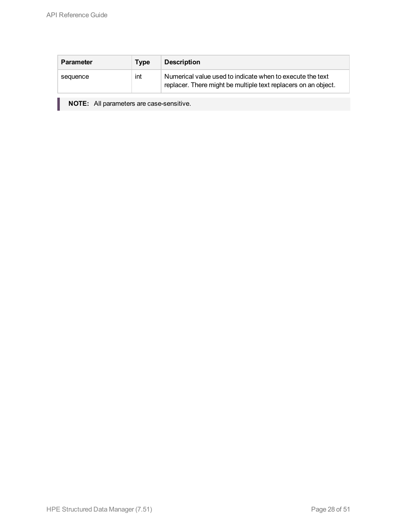| <b>Parameter</b>                                | <b>Type</b> | <b>Description</b>                                                                                                          |
|-------------------------------------------------|-------------|-----------------------------------------------------------------------------------------------------------------------------|
| sequence                                        | int         | Numerical value used to indicate when to execute the text<br>replacer. There might be multiple text replacers on an object. |
| <b>NOTE:</b> All parameters are case-sensitive. |             |                                                                                                                             |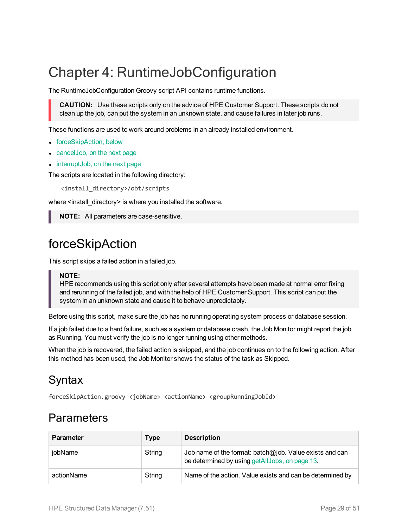## <span id="page-28-0"></span>Chapter 4: RuntimeJobConfiguration

The RuntimeJobConfiguration Groovy script API contains runtime functions.

**CAUTION:** Use these scripts only on the advice of HPE Customer Support. These scripts do not clean up the job, can put the system in an unknown state, and cause failures in later job runs.

These functions are used to work around problems in an already installed environment.

- [forceSkipAction,](#page-28-1) below
- [cancelJob,](#page-29-0) on the next page
- [interruptJob,](#page-29-1) on the next page

The scripts are located in the following directory:

<install\_directory>/obt/scripts

where <install\_directory> is where you installed the software.

<span id="page-28-1"></span>**NOTE:** All parameters are case-sensitive.

### forceSkipAction

<span id="page-28-2"></span>This script skips a failed action in a failed job.

#### **NOTE:**

HPE recommends using this script only after several attempts have been made at normal error fixing and rerunning of the failed job, and with the help of HPE Customer Support. This script can put the system in an unknown state and cause it to behave unpredictably.

Before using this script, make sure the job has no running operating system process or database session.

If a job failed due to a hard failure, such as a system or database crash, the Job Monitor might report the job as Running. You must verify the job is no longer running using other methods.

When the job is recovered, the failed action is skipped, and the job continues on to the following action. After this method has been used, the Job Monitor shows the status of the task as Skipped.

### **Syntax**

forceSkipAction.groovy <jobName> <actionName> <groupRunningJobId>

| <b>Parameter</b> | <b>Type</b> | <b>Description</b>                                                                                        |
|------------------|-------------|-----------------------------------------------------------------------------------------------------------|
| jobName          | String      | Job name of the format: batch@job. Value exists and can<br>be determined by using getAllJobs, on page 13. |
| actionName       | String      | Name of the action. Value exists and can be determined by                                                 |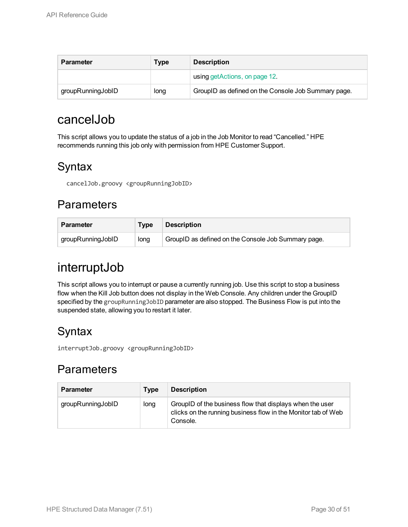| <b>Parameter</b>  | <b>Type</b> | <b>Description</b>                                  |
|-------------------|-------------|-----------------------------------------------------|
|                   |             | using getActions, on page 12.                       |
| groupRunningJobID | long        | GroupID as defined on the Console Job Summary page. |

## <span id="page-29-0"></span>cancelJob

This script allows you to update the status of a job in the Job Monitor to read "Cancelled." HPE recommends running this job only with permission from HPE Customer Support.

### **Syntax**

cancelJob.groovy <groupRunningJobID>

### **Parameters**

| <b>Parameter</b>  | Tvpe | Description                                         |
|-------------------|------|-----------------------------------------------------|
| groupRunningJobID | long | GroupID as defined on the Console Job Summary page. |

## <span id="page-29-1"></span>interruptJob

<span id="page-29-2"></span>This script allows you to interrupt or pause a currently running job. Use this script to stop a business flow when the Kill Job button does not display in the Web Console. Any children under the GroupID specified by the groupRunningJobID parameter are also stopped. The Business Flow is put into the suspended state, allowing you to restart it later.

## **Syntax**

interruptJob.groovy <groupRunningJobID>

<span id="page-29-3"></span>

| <b>Parameter</b>  | <b>Type</b> | <b>Description</b>                                                                                                                    |
|-------------------|-------------|---------------------------------------------------------------------------------------------------------------------------------------|
| groupRunningJobID | long        | GroupID of the business flow that displays when the user<br>clicks on the running business flow in the Monitor tab of Web<br>Console. |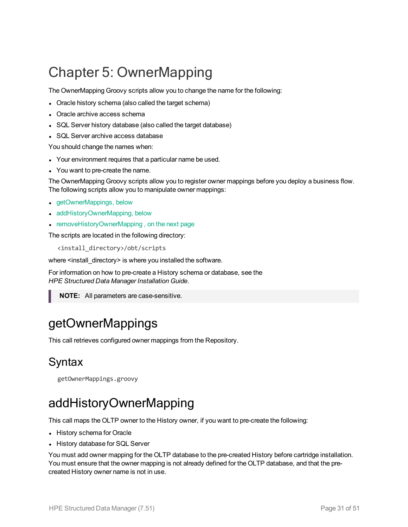## <span id="page-30-0"></span>Chapter 5: OwnerMapping

The OwnerMapping Groovy scripts allow you to change the name for the following:

- Oracle history schema (also called the target schema)
- Oracle archive access schema
- SQL Server history database (also called the target database)
- SQL Server archive access database

You should change the names when:

- Your environment requires that a particular name be used.
- <span id="page-30-3"></span>• You want to pre-create the name.

The OwnerMapping Groovy scripts allow you to register owner mappings before you deploy a business flow. The following scripts allow you to manipulate owner mappings:

- [getOwnerMappings,](#page-30-1) below
- [addHistoryOwnerMapping,](#page-30-2) below
- [removeHistoryOwnerMapping](#page-31-0), on the next page

The scripts are located in the following directory:

<install\_directory>/obt/scripts

where <install\_directory> is where you installed the software.

For information on how to pre-create a History schema or database, see the *HPE Structured Data Manager Installation Guide*.

<span id="page-30-1"></span>**NOTE:** All parameters are case-sensitive.

## getOwnerMappings

This call retrieves configured owner mappings from the Repository.

### Syntax

<span id="page-30-2"></span>getOwnerMappings.groovy

## addHistoryOwnerMapping

This call maps the OLTP owner to the History owner, if you want to pre-create the following:

- History schema for Oracle
- History database for SQL Server

You must add owner mapping for the OLTP database to the pre-created History before cartridge installation. You must ensure that the owner mapping is not already defined for the OLTP database, and that the precreated History owner name is not in use.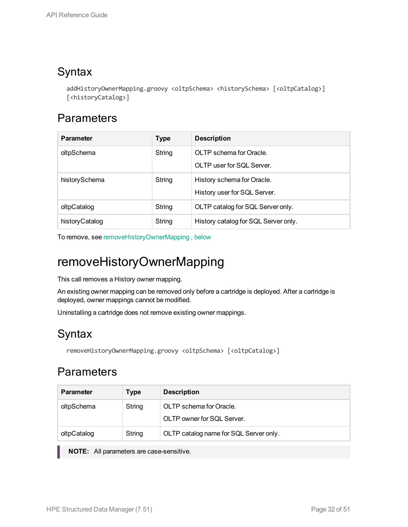### **Syntax**

addHistoryOwnerMapping.groovy <oltpSchema> <historySchema> [<oltpCatalog>] [<historyCatalog>]

### Parameters

| <b>Parameter</b> | <b>Type</b> | <b>Description</b>                                         |
|------------------|-------------|------------------------------------------------------------|
| oltpSchema       | String      | OLTP schema for Oracle.<br>OLTP user for SQL Server.       |
| historySchema    | String      | History schema for Oracle.<br>History user for SQL Server. |
| oltpCatalog      | String      | OLTP catalog for SQL Server only.                          |
| historyCatalog   | String      | History catalog for SQL Server only.                       |

<span id="page-31-0"></span>To remove, see [removeHistoryOwnerMapping](#page-31-0) , below

## removeHistoryOwnerMapping

This call removes a History owner mapping.

An existing owner mapping can be removed only before a cartridge is deployed. After a cartridge is deployed, owner mappings cannot be modified.

Uninstalling a cartridge does not remove existing owner mappings.

### **Syntax**

removeHistoryOwnerMapping.groovy <oltpSchema> [<oltpCatalog>]

### **Parameters**

| <b>Parameter</b> | Type   | <b>Description</b>                     |
|------------------|--------|----------------------------------------|
| oltpSchema       | String | OLTP schema for Oracle.                |
|                  |        | OLTP owner for SQL Server.             |
| oltpCatalog      | String | OLTP catalog name for SQL Server only. |

**NOTE:** All parameters are case-sensitive.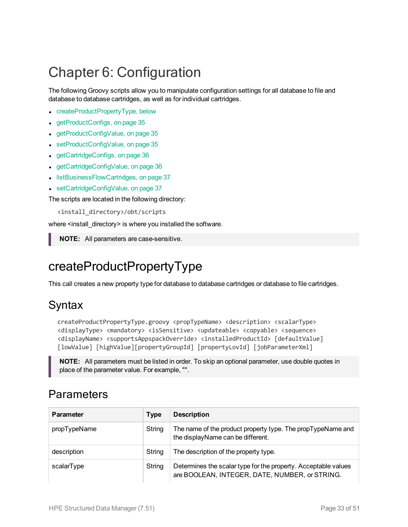## <span id="page-32-0"></span>Chapter 6: Configuration

<span id="page-32-2"></span>The following Groovy scripts allow you to manipulate configuration settings for all database to file and database to database cartridges, as well as for individual cartridges.

- [createProductPropertyType,](#page-32-1) below
- [getProductConfigs,](#page-34-0) on page 35
- [getProductConfigValue,](#page-34-1) on page 35
- [setProductConfigValue,](#page-34-2) on page 35
- [getCartridgeConfigs,](#page-35-0) on page 36
- [getCartridgeConfigValue,](#page-35-1) on page 36
- **.** [listBusinessFlowCartridges,](#page-36-0) on page 37
- [setCartridgeConfigValue,](#page-36-1) on page 37

The scripts are located in the following directory:

<install\_directory>/obt/scripts

where <install\_directory> is where you installed the software.

<span id="page-32-1"></span>**NOTE:** All parameters are case-sensitive.

## createProductPropertyType

This call creates a new property type for database to database cartridges or database to file cartridges.

### **Syntax**

createProductPropertyType.groovy <propTypeName> <description> <scalarType> <displayType> <mandatory> <isSensitive> <updateable> <copyable> <sequence> <displayName> <supportsAppspackOverride> <installedProductId> [defaultValue] [lowValue] [highValue][propertyGroupId] [propertyLovId] [jobParameterXml]

**NOTE:** All parameters must be listed in order. To skip an optional parameter, use double quotes in place of the parameter value. For example, "".

| <b>Parameter</b> | <b>Type</b> | <b>Description</b>                                                                                               |
|------------------|-------------|------------------------------------------------------------------------------------------------------------------|
| propTypeName     | String      | The name of the product property type. The propTypeName and<br>the displayName can be different.                 |
| description      | String      | The description of the property type.                                                                            |
| scalarType       | String      | Determines the scalar type for the property. Acceptable values<br>are BOOLEAN, INTEGER, DATE, NUMBER, or STRING. |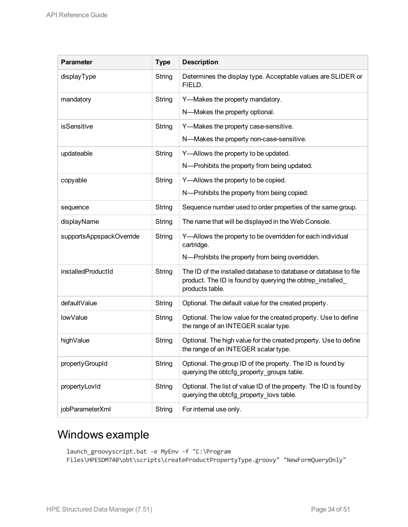| <b>Parameter</b>         | <b>Type</b> | <b>Description</b>                                                                                                                                |
|--------------------------|-------------|---------------------------------------------------------------------------------------------------------------------------------------------------|
| displayType              | String      | Determines the display type. Acceptable values are SLIDER or<br>FIELD.                                                                            |
| mandatory                | String      | Y-Makes the property mandatory.                                                                                                                   |
|                          |             | N-Makes the property optional.                                                                                                                    |
| isSensitive              | String      | Y-Makes the property case-sensitive.                                                                                                              |
|                          |             | N-Makes the property non-case-sensitive.                                                                                                          |
| updateable               | String      | Y-Allows the property to be updated.                                                                                                              |
|                          |             | N—Prohibits the property from being updated.                                                                                                      |
| copyable                 | String      | Y—Allows the property to be copied.                                                                                                               |
|                          |             | N-Prohibits the property from being copied.                                                                                                       |
| sequence                 | String      | Sequence number used to order properties of the same group.                                                                                       |
| displayName              | String      | The name that will be displayed in the Web Console.                                                                                               |
| supportsAppspackOverride | String      | Y—Allows the property to be overridden for each individual<br>cartridge.                                                                          |
|                          |             | N—Prohibits the property from being overridden.                                                                                                   |
| installedProductId       | String      | The ID of the installed database to database or database to file<br>product. The ID is found by querying the obtrep_installed_<br>products table. |
| defaultValue             | String      | Optional. The default value for the created property.                                                                                             |
| lowValue                 | String      | Optional. The low value for the created property. Use to define<br>the range of an INTEGER scalar type.                                           |
| highValue                | String      | Optional. The high value for the created property. Use to define<br>the range of an INTEGER scalar type.                                          |
| propertyGroupId          | String      | Optional. The group ID of the property. The ID is found by<br>querying the obtcfg_property_groups table.                                          |
| propertyLovId            | String      | Optional. The list of value ID of the property. The ID is found by<br>querying the obtcfg property lovs table.                                    |
| jobParameterXml          | String      | For internal use only.                                                                                                                            |

## Windows example

launch\_groovyscript.bat -e MyEnv -f "C:\Program Files\HPESDM740\obt\scripts\createProductPropertyType.groovy" "NewFormQueryOnly"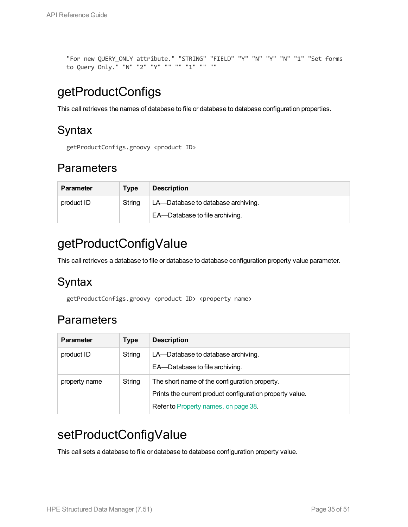```
"For new QUERY_ONLY attribute." "STRING" "FIELD" "Y" "N" "Y" "N" "1" "Set forms
to Query Only." "N" "2" "Y" "" "" "1" "" ""
```
## <span id="page-34-0"></span>getProductConfigs

This call retrieves the names of database to file or database to database configuration properties.

### **Syntax**

```
getProductConfigs.groovy <product ID>
```
### **Parameters**

| <b>Parameter</b> | <b>Type</b> | <b>Description</b>                 |  |
|------------------|-------------|------------------------------------|--|
| product ID       | String      | LA-Database to database archiving. |  |
|                  |             | EA—Database to file archiving.     |  |

## <span id="page-34-1"></span>getProductConfigValue

This call retrieves a database to file or database to database configuration property value parameter.

### **Syntax**

getProductConfigs.groovy <product ID> <property name>

### **Parameters**

| <b>Parameter</b> | <b>Type</b> | <b>Description</b>                                       |  |
|------------------|-------------|----------------------------------------------------------|--|
| product ID       | String      | LA-Database to database archiving.                       |  |
|                  |             | EA-Database to file archiving.                           |  |
| property name    | String      | The short name of the configuration property.            |  |
|                  |             | Prints the current product configuration property value. |  |
|                  |             | Refer to Property names, on page 38.                     |  |

## <span id="page-34-2"></span>setProductConfigValue

This call sets a database to file or database to database configuration property value.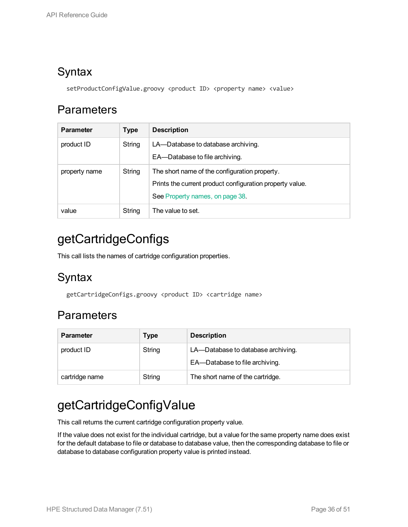### **Syntax**

setProductConfigValue.groovy <product ID> <property name> <value>

### **Parameters**

| <b>Parameter</b> | Type   | <b>Description</b>                                       |  |
|------------------|--------|----------------------------------------------------------|--|
| product ID       | String | LA-Database to database archiving.                       |  |
|                  |        | EA-Database to file archiving.                           |  |
| property name    | String | The short name of the configuration property.            |  |
|                  |        | Prints the current product configuration property value. |  |
|                  |        | See Property names, on page 38.                          |  |
| value            | String | The value to set.                                        |  |

## <span id="page-35-0"></span>getCartridgeConfigs

This call lists the names of cartridge configuration properties.

### **Syntax**

getCartridgeConfigs.groovy <product ID> <cartridge name>

### **Parameters**

| <b>Parameter</b> | <b>Type</b> | <b>Description</b>                 |
|------------------|-------------|------------------------------------|
| product ID       | String      | LA—Database to database archiving. |
|                  |             | EA-Database to file archiving.     |
| cartridge name   | String      | The short name of the cartridge.   |

## <span id="page-35-1"></span>getCartridgeConfigValue

This call returns the current cartridge configuration property value.

If the value does not exist for the individual cartridge, but a value for the same property name does exist for the default database to file or database to database value, then the corresponding database to file or database to database configuration property value is printed instead.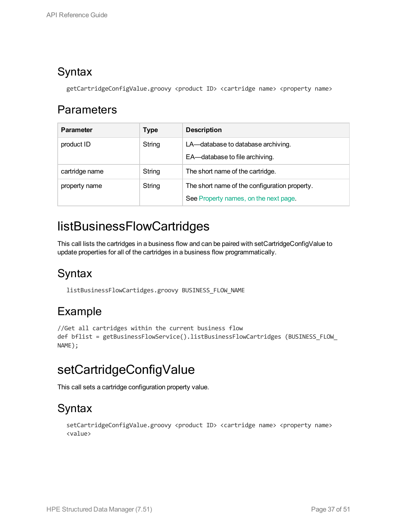### **Syntax**

getCartridgeConfigValue.groovy <product ID> <cartridge name> <property name>

### **Parameters**

| <b>Parameter</b> | <b>Type</b> | <b>Description</b>                            |
|------------------|-------------|-----------------------------------------------|
| product ID       | String      | LA-database to database archiving.            |
|                  |             | EA—database to file archiving.                |
| cartridge name   | String      | The short name of the cartridge.              |
| property name    | String      | The short name of the configuration property. |
|                  |             | See Property names, on the next page.         |

## <span id="page-36-0"></span>**listBusinessFlowCartridges**

<span id="page-36-2"></span>This call lists the cartridges in a business flow and can be paired with setCartridgeConfigValue to update properties for all of the cartridges in a business flow programmatically.

### **Syntax**

listBusinessFlowCartidges.groovy BUSINESS\_FLOW\_NAME

### Example

//Get all cartridges within the current business flow def bflist = getBusinessFlowService().listBusinessFlowCartridges (BUSINESS\_FLOW\_ NAME);

## <span id="page-36-1"></span>setCartridgeConfigValue

This call sets a cartridge configuration property value.

### **Syntax**

setCartridgeConfigValue.groovy <product ID> <cartridge name> <property name> <value>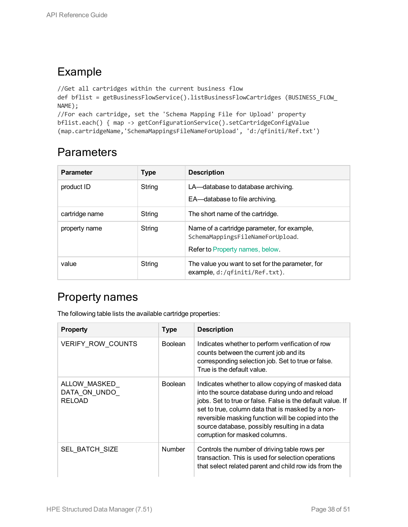### Example

```
//Get all cartridges within the current business flow
def bflist = getBusinessFlowService().listBusinessFlowCartridges (BUSINESS_FLOW_
NAME);
//For each cartridge, set the 'Schema Mapping File for Upload' property
bflist.each() { map -> getConfigurationService().setCartridgeConfigValue
(map.cartridgeName,'SchemaMappingsFileNameForUpload', 'd:/qfiniti/Ref.txt')
```
### **Parameters**

| <b>Parameter</b> | Type   | <b>Description</b>                                                                                                 |
|------------------|--------|--------------------------------------------------------------------------------------------------------------------|
| product ID       | String | LA—database to database archiving.                                                                                 |
|                  |        | EA—database to file archiving.                                                                                     |
| cartridge name   | String | The short name of the cartridge.                                                                                   |
| property name    | String | Name of a cartridge parameter, for example,<br>SchemaMappingsFileNameForUpload.<br>Refer to Property names, below. |
| value            | String | The value you want to set for the parameter, for<br>example, d:/qfiniti/Ref.txt).                                  |

### <span id="page-37-0"></span>Property names

The following table lists the available cartridge properties:

| <b>Property</b>                               | <b>Type</b>    | <b>Description</b>                                                                                                                                                                                                                                                                                                                                                |
|-----------------------------------------------|----------------|-------------------------------------------------------------------------------------------------------------------------------------------------------------------------------------------------------------------------------------------------------------------------------------------------------------------------------------------------------------------|
| <b>VERIFY ROW COUNTS</b>                      | <b>Boolean</b> | Indicates whether to perform verification of row<br>counts between the current job and its<br>corresponding selection job. Set to true or false.<br>True is the default value.                                                                                                                                                                                    |
| ALLOW MASKED<br>DATA ON UNDO<br><b>RELOAD</b> | <b>Boolean</b> | Indicates whether to allow copying of masked data<br>into the source database during undo and reload<br>jobs. Set to true or false. False is the default value. If<br>set to true, column data that is masked by a non-<br>reversible masking function will be copied into the<br>source database, possibly resulting in a data<br>corruption for masked columns. |
| SEL BATCH SIZE                                | <b>Number</b>  | Controls the number of driving table rows per<br>transaction. This is used for selection operations<br>that select related parent and child row ids from the                                                                                                                                                                                                      |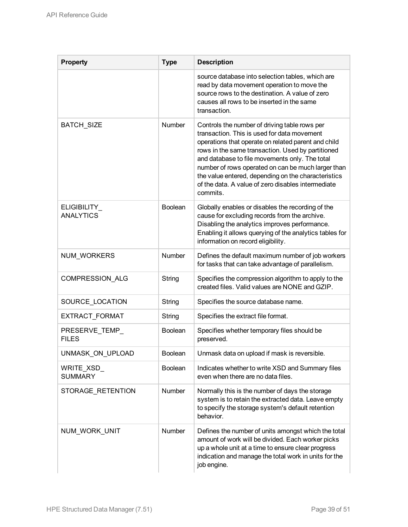| <b>Property</b>                        | <b>Type</b>    | <b>Description</b>                                                                                                                                                                                                                                                                                                                                                                                                                        |
|----------------------------------------|----------------|-------------------------------------------------------------------------------------------------------------------------------------------------------------------------------------------------------------------------------------------------------------------------------------------------------------------------------------------------------------------------------------------------------------------------------------------|
|                                        |                | source database into selection tables, which are<br>read by data movement operation to move the<br>source rows to the destination. A value of zero<br>causes all rows to be inserted in the same<br>transaction.                                                                                                                                                                                                                          |
| <b>BATCH_SIZE</b>                      | Number         | Controls the number of driving table rows per<br>transaction. This is used for data movement<br>operations that operate on related parent and child<br>rows in the same transaction. Used by partitioned<br>and database to file movements only. The total<br>number of rows operated on can be much larger than<br>the value entered, depending on the characteristics<br>of the data. A value of zero disables intermediate<br>commits. |
| <b>ELIGIBILITY</b><br><b>ANALYTICS</b> | <b>Boolean</b> | Globally enables or disables the recording of the<br>cause for excluding records from the archive.<br>Disabling the analytics improves performance.<br>Enabling it allows querying of the analytics tables for<br>information on record eligibility.                                                                                                                                                                                      |
| NUM_WORKERS                            | Number         | Defines the default maximum number of job workers<br>for tasks that can take advantage of parallelism.                                                                                                                                                                                                                                                                                                                                    |
| COMPRESSION_ALG                        | String         | Specifies the compression algorithm to apply to the<br>created files. Valid values are NONE and GZIP.                                                                                                                                                                                                                                                                                                                                     |
| SOURCE_LOCATION                        | String         | Specifies the source database name.                                                                                                                                                                                                                                                                                                                                                                                                       |
| EXTRACT FORMAT                         | String         | Specifies the extract file format.                                                                                                                                                                                                                                                                                                                                                                                                        |
| PRESERVE_TEMP_<br><b>FILES</b>         | <b>Boolean</b> | Specifies whether temporary files should be<br>preserved.                                                                                                                                                                                                                                                                                                                                                                                 |
| UNMASK ON UPLOAD                       | Boolean        | Unmask data on upload if mask is reversible.                                                                                                                                                                                                                                                                                                                                                                                              |
| WRITE_XSD_<br><b>SUMMARY</b>           | <b>Boolean</b> | Indicates whether to write XSD and Summary files<br>even when there are no data files.                                                                                                                                                                                                                                                                                                                                                    |
| STORAGE RETENTION                      | Number         | Normally this is the number of days the storage<br>system is to retain the extracted data. Leave empty<br>to specify the storage system's default retention<br>behavior.                                                                                                                                                                                                                                                                  |
| NUM WORK UNIT                          | Number         | Defines the number of units amongst which the total<br>amount of work will be divided. Each worker picks<br>up a whole unit at a time to ensure clear progress<br>indication and manage the total work in units for the<br>job engine.                                                                                                                                                                                                    |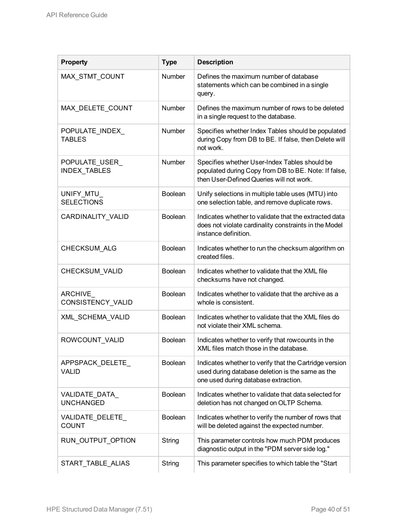| <b>Property</b>                     | <b>Type</b>    | <b>Description</b>                                                                                                                                 |
|-------------------------------------|----------------|----------------------------------------------------------------------------------------------------------------------------------------------------|
| MAX_STMT_COUNT                      | Number         | Defines the maximum number of database<br>statements which can be combined in a single<br>query.                                                   |
| MAX_DELETE_COUNT                    | Number         | Defines the maximum number of rows to be deleted<br>in a single request to the database.                                                           |
| POPULATE INDEX<br><b>TABLES</b>     | Number         | Specifies whether Index Tables should be populated<br>during Copy from DB to BE. If false, then Delete will<br>not work.                           |
| POPULATE_USER_<br>INDEX_TABLES      | Number         | Specifies whether User-Index Tables should be<br>populated during Copy from DB to BE. Note: If false,<br>then User-Defined Queries will not work.  |
| UNIFY_MTU_<br><b>SELECTIONS</b>     | <b>Boolean</b> | Unify selections in multiple table uses (MTU) into<br>one selection table, and remove duplicate rows.                                              |
| CARDINALITY_VALID                   | <b>Boolean</b> | Indicates whether to validate that the extracted data<br>does not violate cardinality constraints in the Model<br>instance definition.             |
| CHECKSUM_ALG                        | <b>Boolean</b> | Indicates whether to run the checksum algorithm on<br>created files.                                                                               |
| CHECKSUM_VALID                      | Boolean        | Indicates whether to validate that the XML file<br>checksums have not changed.                                                                     |
| <b>ARCHIVE</b><br>CONSISTENCY_VALID | <b>Boolean</b> | Indicates whether to validate that the archive as a<br>whole is consistent.                                                                        |
| XML_SCHEMA_VALID                    | <b>Boolean</b> | Indicates whether to validate that the XML files do<br>not violate their XML schema.                                                               |
| ROWCOUNT_VALID                      | <b>Boolean</b> | Indicates whether to verify that rowcounts in the<br>XML files match those in the database.                                                        |
| APPSPACK_DELETE_<br><b>VALID</b>    | <b>Boolean</b> | Indicates whether to verify that the Cartridge version<br>used during database deletion is the same as the<br>one used during database extraction. |
| VALIDATE_DATA_<br><b>UNCHANGED</b>  | <b>Boolean</b> | Indicates whether to validate that data selected for<br>deletion has not changed on OLTP Schema.                                                   |
| VALIDATE_DELETE_<br><b>COUNT</b>    | <b>Boolean</b> | Indicates whether to verify the number of rows that<br>will be deleted against the expected number.                                                |
| RUN_OUTPUT_OPTION                   | String         | This parameter controls how much PDM produces<br>diagnostic output in the "PDM server side log."                                                   |
| START_TABLE_ALIAS                   | String         | This parameter specifies to which table the "Start                                                                                                 |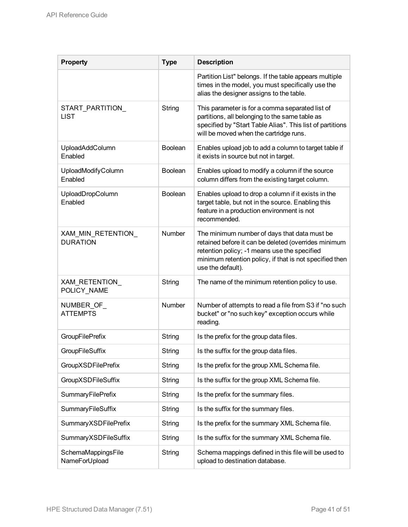| <b>Property</b>                       | <b>Type</b>    | <b>Description</b>                                                                                                                                                                                                                   |
|---------------------------------------|----------------|--------------------------------------------------------------------------------------------------------------------------------------------------------------------------------------------------------------------------------------|
|                                       |                | Partition List" belongs. If the table appears multiple<br>times in the model, you must specifically use the<br>alias the designer assigns to the table.                                                                              |
| START_PARTITION_<br><b>LIST</b>       | String         | This parameter is for a comma separated list of<br>partitions, all belonging to the same table as<br>specified by "Start Table Alias". This list of partitions<br>will be moved when the cartridge runs.                             |
| UploadAddColumn<br>Enabled            | <b>Boolean</b> | Enables upload job to add a column to target table if<br>it exists in source but not in target.                                                                                                                                      |
| UploadModifyColumn<br>Enabled         | Boolean        | Enables upload to modify a column if the source<br>column differs from the existing target column.                                                                                                                                   |
| UploadDropColumn<br>Enabled           | <b>Boolean</b> | Enables upload to drop a column if it exists in the<br>target table, but not in the source. Enabling this<br>feature in a production environment is not<br>recommended.                                                              |
| XAM_MIN_RETENTION_<br><b>DURATION</b> | Number         | The minimum number of days that data must be<br>retained before it can be deleted (overrides minimum<br>retention policy; -1 means use the specified<br>minimum retention policy, if that is not specified then<br>use the default). |
| XAM_RETENTION_<br>POLICY NAME         | String         | The name of the minimum retention policy to use.                                                                                                                                                                                     |
| NUMBER OF<br><b>ATTEMPTS</b>          | Number         | Number of attempts to read a file from S3 if "no such<br>bucket" or "no such key" exception occurs while<br>reading.                                                                                                                 |
| <b>GroupFilePrefix</b>                | String         | Is the prefix for the group data files.                                                                                                                                                                                              |
| GroupFileSuffix                       | String         | Is the suffix for the group data files                                                                                                                                                                                               |
| <b>GroupXSDFilePrefix</b>             | String         | Is the prefix for the group XML Schema file.                                                                                                                                                                                         |
| GroupXSDFileSuffix                    | String         | Is the suffix for the group XML Schema file.                                                                                                                                                                                         |
| <b>SummaryFilePrefix</b>              | String         | Is the prefix for the summary files.                                                                                                                                                                                                 |
| SummaryFileSuffix                     | String         | Is the suffix for the summary files.                                                                                                                                                                                                 |
| SummaryXSDFilePrefix                  | String         | Is the prefix for the summary XML Schema file.                                                                                                                                                                                       |
| SummaryXSDFileSuffix                  | String         | Is the suffix for the summary XML Schema file.                                                                                                                                                                                       |
| SchemaMappingsFile<br>NameForUpload   | String         | Schema mappings defined in this file will be used to<br>upload to destination database.                                                                                                                                              |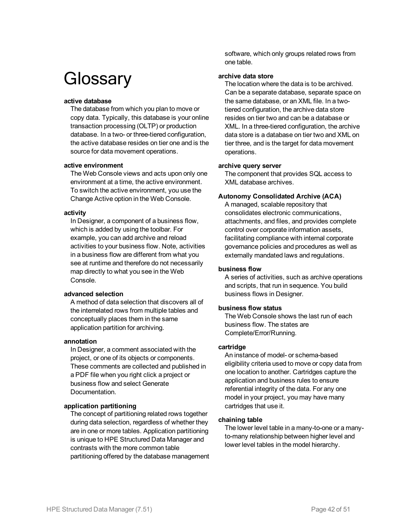# <span id="page-41-0"></span>**Glossary**

#### **active database**

The database from which you plan to move or copy data. Typically, this database is your online transaction processing (OLTP) or production database. In a two- or three-tiered configuration, the active database resides on tier one and is the source for data movement operations.

#### **active environment**

The Web Console views and acts upon only one environment at a time, the active environment. To switch the active environment, you use the Change Active option in the Web Console.

#### **activity**

In Designer, a component of a business flow, which is added by using the toolbar. For example, you can add archive and reload activities to your business flow. Note, activities in a business flow are different from what you see at runtime and therefore do not necessarily map directly to what you see in the Web Console.

#### **advanced selection**

A method of data selection that discovers all of the interrelated rows from multiple tables and conceptually places them in the same application partition for archiving.

#### **annotation**

In Designer, a comment associated with the project, or one of its objects or components. These comments are collected and published in a PDF file when you right click a project or business flow and select Generate Documentation.

#### **application partitioning**

The concept of partitioning related rows together during data selection, regardless of whether they are in one or more tables. Application partitioning is unique to HPE Structured Data Manager and contrasts with the more common table partitioning offered by the database management software, which only groups related rows from one table.

#### **archive data store**

The location where the data is to be archived. Can be a separate database, separate space on the same database, or an XML file. In a twotiered configuration, the archive data store resides on tier two and can be a database or XML. In a three-tiered configuration, the archive data store is a database on tier two and XML on tier three, and is the target for data movement operations.

#### **archive query server**

The component that provides SQL access to XML database archives.

### **Autonomy Consolidated Archive (ACA)**

A managed, scalable repository that consolidates electronic communications, attachments, and files, and provides complete control over corporate information assets, facilitating compliance with internal corporate governance policies and procedures as well as externally mandated laws and regulations.

#### **business flow**

A series of activities, such as archive operations and scripts, that run in sequence. You build business flows in Designer.

#### **business flow status**

The Web Console shows the last run of each business flow. The states are Complete/Error/Running.

#### **cartridge**

An instance of model- or schema-based eligibility criteria used to move or copy data from one location to another. Cartridges capture the application and business rules to ensure referential integrity of the data. For any one model in your project, you may have many cartridges that use it.

#### **chaining table**

The lower level table in a many-to-one or a manyto-many relationship between higher level and lower level tables in the model hierarchy.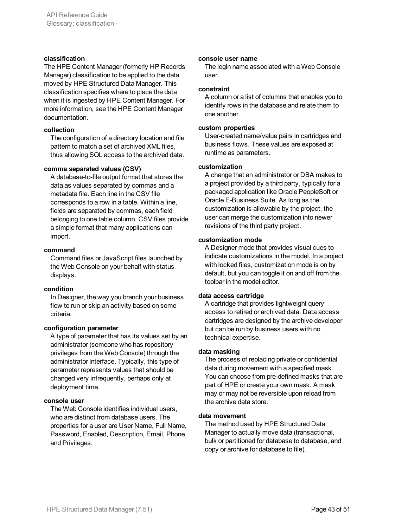#### **classification**

The HPE Content Manager (formerly HP Records Manager) classification to be applied to the data moved by HPE Structured Data Manager. This classification specifies where to place the data when it is ingested by HPE Content Manager. For more information, see the HPE Content Manager documentation.

#### **collection**

The configuration of a directory location and file pattern to match a set of archived XML files, thus allowing SQL access to the archived data.

#### **comma separated values (CSV)**

A database-to-file output format that stores the data as values separated by commas and a metadata file. Each line in the CSV file corresponds to a row in a table. Within a line, fields are separated by commas, each field belonging to one table column. CSV files provide a simple format that many applications can import.

#### **command**

Command files or JavaScript files launched by the Web Console on your behalf with status displays.

#### **condition**

In Designer, the way you branch your business flow to run or skip an activity based on some criteria.

#### **configuration parameter**

A type of parameter that has its values set by an administrator (someone who has repository privileges from the Web Console) through the administrator interface. Typically, this type of parameter represents values that should be changed very infrequently, perhaps only at deployment time.

#### **console user**

The Web Console identifies individual users, who are distinct from database users. The properties for a user are User Name, Full Name, Password, Enabled, Description, Email, Phone, and Privileges.

#### **console user name**

The login name associated with a Web Console user.

#### **constraint**

A column or a list of columns that enables you to identify rows in the database and relate them to one another.

#### **custom properties**

User-created name/value pairs in cartridges and business flows. These values are exposed at runtime as parameters.

#### **customization**

A change that an administrator or DBA makes to a project provided by a third party, typically for a packaged application like Oracle PeopleSoft or Oracle E-Business Suite. As long as the customization is allowable by the project, the user can merge the customization into newer revisions of the third party project.

#### **customization mode**

A Designer mode that provides visual cues to indicate customizations in the model. In a project with locked files, customization mode is on by default, but you can toggle it on and off from the toolbar in the model editor.

#### **data access cartridge**

A cartridge that provides lightweight query access to retired or archived data. Data access cartridges are designed by the archive developer but can be run by business users with no technical expertise.

#### **data masking**

The process of replacing private or confidential data during movement with a specified mask. You can choose from pre-defined masks that are part of HPE or create your own mask. A mask may or may not be reversible upon reload from the archive data store.

#### **data movement**

The method used by HPE Structured Data Manager to actually move data (transactional, bulk or partitioned for database to database, and copy or archive for database to file).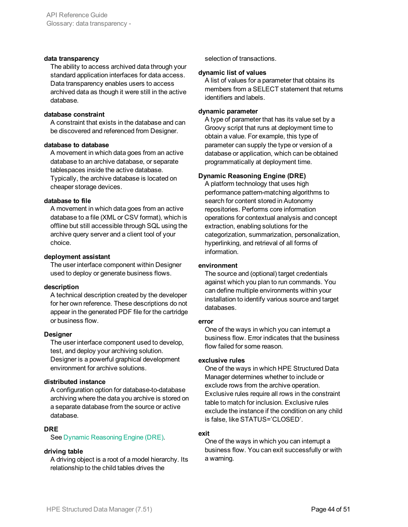#### **data transparency**

The ability to access archived data through your standard application interfaces for data access. Data transparency enables users to access archived data as though it were still in the active database.

#### **database constraint**

A constraint that exists in the database and can be discovered and referenced from Designer.

#### **database to database**

A movement in which data goes from an active database to an archive database, or separate tablespaces inside the active database.

Typically, the archive database is located on cheaper storage devices.

#### **database to file**

A movement in which data goes from an active database to a file (XML or CSV format), which is offline but still accessible through SQL using the archive query server and a client tool of your choice.

#### **deployment assistant**

The user interface component within Designer used to deploy or generate business flows.

#### **description**

A technical description created by the developer for her own reference. These descriptions do not appear in the generated PDF file for the cartridge or business flow.

#### **Designer**

The user interface component used to develop, test, and deploy your archiving solution. Designer is a powerful graphical development environment for archive solutions.

#### **distributed instance**

A configuration option for database-to-database archiving where the data you archive is stored on a separate database from the source or active database.

#### **DRE**

See Dynamic [Reasoning](#page-43-0) Engine (DRE).

#### **driving table**

A driving object is a root of a model hierarchy. Its relationship to the child tables drives the

selection of transactions.

#### **dynamic list of values**

A list of values for a parameter that obtains its members from a SELECT statement that returns identifiers and labels.

#### **dynamic parameter**

A type of parameter that has its value set by a Groovy script that runs at deployment time to obtain a value. For example, this type of parameter can supply the type or version of a database or application, which can be obtained programmatically at deployment time.

### <span id="page-43-0"></span>**Dynamic Reasoning Engine (DRE)**

A platform technology that uses high performance pattern-matching algorithms to search for content stored in Autonomy repositories. Performs core information operations for contextual analysis and concept extraction, enabling solutions for the categorization, summarization, personalization, hyperlinking, and retrieval of all forms of information.

#### **environment**

The source and (optional) target credentials against which you plan to run commands. You can define multiple environments within your installation to identify various source and target databases.

#### **error**

One of the ways in which you can interrupt a business flow. Error indicates that the business flow failed for some reason.

#### **exclusive rules**

One of the ways in which HPE Structured Data Manager determines whether to include or exclude rows from the archive operation. Exclusive rules require all rows in the constraint table to match for inclusion. Exclusive rules exclude the instance if the condition on any child is false, like STATUS='CLOSED'.

#### **exit**

One of the ways in which you can interrupt a business flow. You can exit successfully or with a warning.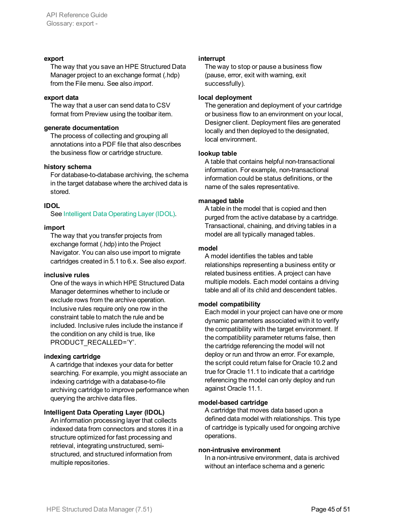#### **export**

The way that you save an HPE Structured Data Manager project to an exchange format (.hdp) from the File menu. See also *import*.

#### **export data**

The way that a user can send data to CSV format from Preview using the toolbar item.

#### **generate documentation**

The process of collecting and grouping all annotations into a PDF file that also describes the business flow or cartridge structure.

#### **history schema**

For database-to-database archiving, the schema in the target database where the archived data is stored.

#### **IDOL**

See Intelligent Data [Operating](#page-44-0) Layer (IDOL).

#### **import**

The way that you transfer projects from exchange format (.hdp) into the Project Navigator. You can also use import to migrate cartridges created in 5.1 to 6.x. See also *export*.

#### **inclusive rules**

One of the ways in which HPE Structured Data Manager determines whether to include or exclude rows from the archive operation. Inclusive rules require only one row in the constraint table to match the rule and be included. Inclusive rules include the instance if the condition on any child is true, like PRODUCT\_RECALLED='Y'.

#### **indexing cartridge**

A cartridge that indexes your data for better searching. For example, you might associate an indexing cartridge with a database-to-file archiving cartridge to improve performance when querying the archive data files.

#### <span id="page-44-0"></span>**Intelligent Data Operating Layer (IDOL)**

An information processing layer that collects indexed data from connectors and stores it in a structure optimized for fast processing and retrieval, integrating unstructured, semistructured, and structured information from multiple repositories.

#### **interrupt**

The way to stop or pause a business flow (pause, error, exit with warning, exit successfully).

#### **local deployment**

The generation and deployment of your cartridge or business flow to an environment on your local, Designer client. Deployment files are generated locally and then deployed to the designated, local environment.

#### **lookup table**

A table that contains helpful non-transactional information. For example, non-transactional information could be status definitions, or the name of the sales representative.

#### **managed table**

A table in the model that is copied and then purged from the active database by a cartridge. Transactional, chaining, and driving tables in a model are all typically managed tables.

#### **model**

A model identifies the tables and table relationships representing a business entity or related business entities. A project can have multiple models. Each model contains a driving table and all of its child and descendent tables.

#### **model compatibility**

Each model in your project can have one or more dynamic parameters associated with it to verify the compatibility with the target environment. If the compatibility parameter returns false, then the cartridge referencing the model will not deploy or run and throw an error. For example, the script could return false for Oracle 10.2 and true for Oracle 11.1 to indicate that a cartridge referencing the model can only deploy and run against Oracle 11.1.

#### **model-based cartridge**

A cartridge that moves data based upon a defined data model with relationships. This type of cartridge is typically used for ongoing archive operations.

#### **non-intrusive environment**

In a non-intrusive environment, data is archived without an interface schema and a generic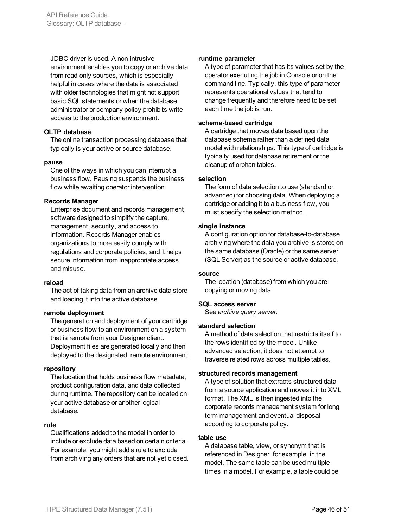JDBC driver is used. A non-intrusive environment enables you to copy or archive data from read-only sources, which is especially helpful in cases where the data is associated with older technologies that might not support basic SQL statements or when the database administrator or company policy prohibits write access to the production environment.

#### **OLTP database**

The online transaction processing database that typically is your active or source database.

#### **pause**

One of the ways in which you can interrupt a business flow. Pausing suspends the business flow while awaiting operator intervention.

#### **Records Manager**

Enterprise document and records management software designed to simplify the capture, management, security, and access to information. Records Manager enables organizations to more easily comply with regulations and corporate policies, and it helps secure information from inappropriate access and misuse.

#### **reload**

The act of taking data from an archive data store and loading it into the active database.

#### **remote deployment**

The generation and deployment of your cartridge or business flow to an environment on a system that is remote from your Designer client. Deployment files are generated locally and then deployed to the designated, remote environment.

#### **repository**

The location that holds business flow metadata, product configuration data, and data collected during runtime. The repository can be located on your active database or another logical database.

#### **rule**

Qualifications added to the model in order to include or exclude data based on certain criteria. For example, you might add a rule to exclude from archiving any orders that are not yet closed.

#### **runtime parameter**

A type of parameter that has its values set by the operator executing the job in Console or on the command line. Typically, this type of parameter represents operational values that tend to change frequently and therefore need to be set each time the job is run.

#### **schema-based cartridge**

A cartridge that moves data based upon the database schema rather than a defined data model with relationships. This type of cartridge is typically used for database retirement or the cleanup of orphan tables.

#### **selection**

The form of data selection to use (standard or advanced) for choosing data. When deploying a cartridge or adding it to a business flow, you must specify the selection method.

#### **single instance**

A configuration option for database-to-database archiving where the data you archive is stored on the same database (Oracle) or the same server (SQL Server) as the source or active database.

#### **source**

The location (database) from which you are copying or moving data.

#### **SQL access server**

See *archive query server*.

### **standard selection**

A method of data selection that restricts itself to the rows identified by the model. Unlike advanced selection, it does not attempt to traverse related rows across multiple tables.

#### **structured records management**

A type of solution that extracts structured data from a source application and moves it into XML format. The XML is then ingested into the corporate records management system for long term management and eventual disposal according to corporate policy.

#### **table use**

A database table, view, or synonym that is referenced in Designer, for example, in the model. The same table can be used multiple times in a model. For example, a table could be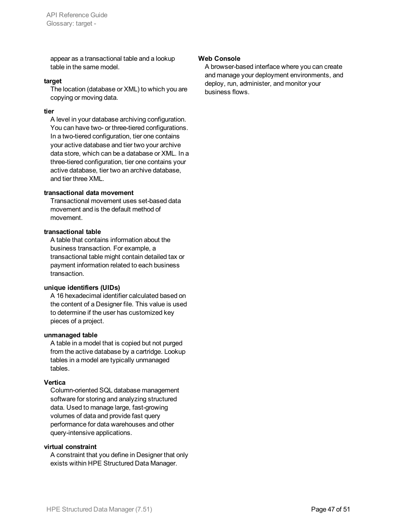appear as a transactional table and a lookup table in the same model.

#### **target**

The location (database or XML) to which you are copying or moving data.

#### **tier**

A level in your database archiving configuration. You can have two- or three-tiered configurations. In a two-tiered configuration, tier one contains your active database and tier two your archive data store, which can be a database or XML. In a three-tiered configuration, tier one contains your active database, tier two an archive database, and tier three XML.

### **transactional data movement**

Transactional movement uses set-based data movement and is the default method of movement.

#### **transactional table**

A table that contains information about the business transaction. For example, a transactional table might contain detailed tax or payment information related to each business transaction.

#### **unique identifiers (UIDs)**

A 16 hexadecimal identifier calculated based on the content of a Designer file. This value is used to determine if the user has customized key pieces of a project.

#### **unmanaged table**

A table in a model that is copied but not purged from the active database by a cartridge. Lookup tables in a model are typically unmanaged tables.

#### **Vertica**

Column-oriented SQL database management software for storing and analyzing structured data. Used to manage large, fast-growing volumes of data and provide fast query performance for data warehouses and other query-intensive applications.

#### **virtual constraint**

A constraint that you define in Designer that only exists within HPE Structured Data Manager.

#### **Web Console**

A browser-based interface where you can create and manage your deployment environments, and deploy, run, administer, and monitor your business flows.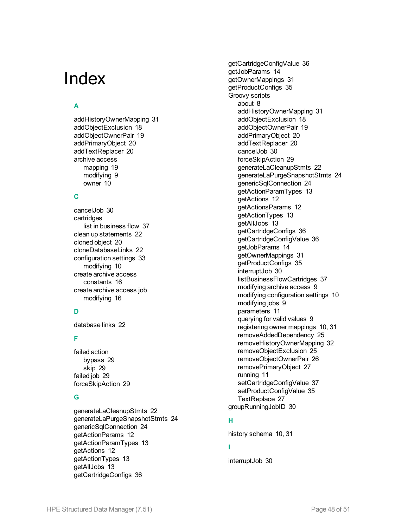# <span id="page-47-0"></span>Index

### **A**

addHistoryOwnerMapping [31](#page-30-2) addObjectExclusion [18](#page-17-0) addObjectOwnerPair [19](#page-18-0) addPrimaryObject [20](#page-19-0) addTextReplacer [20](#page-19-1) archive access mapping [19](#page-18-1) modifying [9](#page-8-3) owner [10](#page-9-2)

### **C**

cancelJob [30](#page-29-0) cartridges list in business flow [37](#page-36-2) clean up statements [22](#page-21-2) cloned object [20](#page-19-2) cloneDatabaseLinks [22](#page-21-3) configuration settings [33](#page-32-2) modifying [10](#page-9-3) create archive access constants [16](#page-15-2) create archive access job modifying [16](#page-15-3)

### **D**

database links [22](#page-21-3)

### **F**

failed action bypass [29](#page-28-2) skip [29](#page-28-2) failed job [29](#page-28-2) forceSkipAction [29](#page-28-1)

### **G**

generateLaCleanupStmts [22](#page-21-2) generateLaPurgeSnapshotStmts [24](#page-23-2) genericSqlConnection [24](#page-23-3) getActionParams [12](#page-11-2) getActionParamTypes [13](#page-12-0) getActions [12](#page-11-1) getActionTypes [13](#page-12-1) getAllJobs [13](#page-12-2) getCartridgeConfigs [36](#page-35-0)

getCartridgeConfigValue [36](#page-35-1) getJobParams [14](#page-13-0) getOwnerMappings [31](#page-30-1) getProductConfigs [35](#page-34-0) Groovy scripts about [8](#page-7-2) addHistoryOwnerMapping [31](#page-30-2) addObjectExclusion [18](#page-17-0) addObjectOwnerPair [19](#page-18-0) addPrimaryObject [20](#page-19-0) addTextReplacer [20](#page-19-1) cancelJob [30](#page-29-0) forceSkipAction [29](#page-28-1) generateLaCleanupStmts [22](#page-21-2) generateLaPurgeSnapshotStmts [24](#page-23-2) genericSqlConnection [24](#page-23-3) getActionParamTypes [13](#page-12-0) getActions [12](#page-11-1) getActionsParams [12](#page-11-2) getActionTypes [13](#page-12-1) getAllJobs [13](#page-12-2) getCartridgeConfigs [36](#page-35-0) getCartridgeConfigValue [36](#page-35-1) getJobParams [14](#page-13-0) getOwnerMappings [31](#page-30-1) getProductConfigs [35](#page-34-0) interruptJob [30](#page-29-2) listBusinessFlowCartridges [37](#page-36-0) modifying archive access [9](#page-8-3) modifying configuration settings [10](#page-9-3) modifying jobs [9](#page-8-4) parameters [11](#page-10-1) querying for valid values [9](#page-8-5) registering owner mappings [10,](#page-9-2) [31](#page-30-3) removeAddedDependency [25](#page-24-0) removeHistoryOwnerMapping [32](#page-31-0) removeObjectExclusion [25](#page-24-1) removeObjectOwnerPair [26](#page-25-0) removePrimaryObject [27](#page-26-0) running [11](#page-10-2) setCartridgeConfigValue [37](#page-36-1) setProductConfigValue [35](#page-34-2) TextReplace [27](#page-26-1) groupRunningJobID [30](#page-29-3)

### **H**

history schema [10,](#page-9-2) [31](#page-30-3)

### **I**

interruptJob [30](#page-29-2)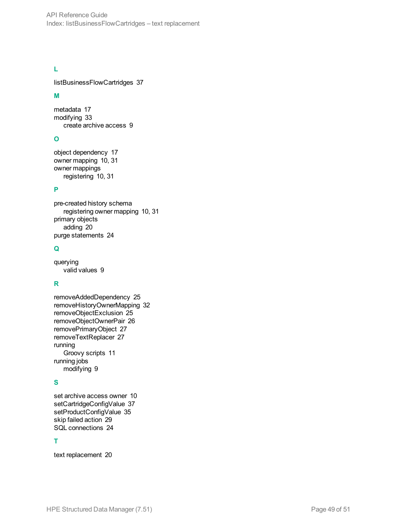### **L**

listBusinessFlowCartridges [37](#page-36-0)

### **M**

metadata [17](#page-16-2) modifying [33](#page-32-2) create archive access [9](#page-8-3)

### **O**

object dependency [17](#page-16-2) owner mapping [10](#page-9-2), [31](#page-30-3) owner mappings registering [10](#page-9-2), [31](#page-30-3)

### **P**

pre-created history schema registering owner mapping [10,](#page-9-2) [31](#page-30-3) primary objects adding [20](#page-19-2) purge statements [24](#page-23-2)

### **Q**

querying valid values [9](#page-8-5)

### **R**

removeAddedDependency [25](#page-24-0) removeHistoryOwnerMapping [32](#page-31-0) removeObjectExclusion [25](#page-24-1) removeObjectOwnerPair [26](#page-25-0) removePrimaryObject [27](#page-26-0) removeTextReplacer [27](#page-26-1) running Groovy scripts [11](#page-10-2) running jobs modifying [9](#page-8-4)

### **S**

set archive access owner [10](#page-9-2) setCartridgeConfigValue [37](#page-36-1) setProductConfigValue [35](#page-34-2) skip failed action [29](#page-28-2) SQL connections [24](#page-23-3)

### **T**

text replacement [20](#page-19-3)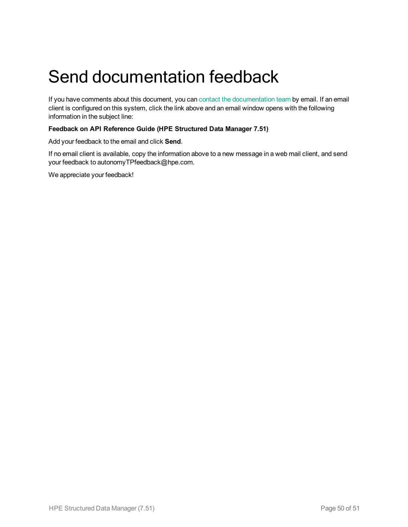# <span id="page-49-0"></span>Send documentation feedback

If you have comments about this document, you can contact the [documentation](mailto:autonomyTPfeedback@hpe.com?subject=Feedback on API Reference Guide (HPE Structured Data Manager 7.51)) team by email. If an email client is configured on this system, click the link above and an email window opens with the following information in the subject line:

#### **Feedback on API Reference Guide (HPE Structured Data Manager 7.51)**

Add your feedback to the email and click **Send**.

If no email client is available, copy the information above to a new message in a web mail client, and send your feedback to autonomyTPfeedback@hpe.com.

We appreciate your feedback!